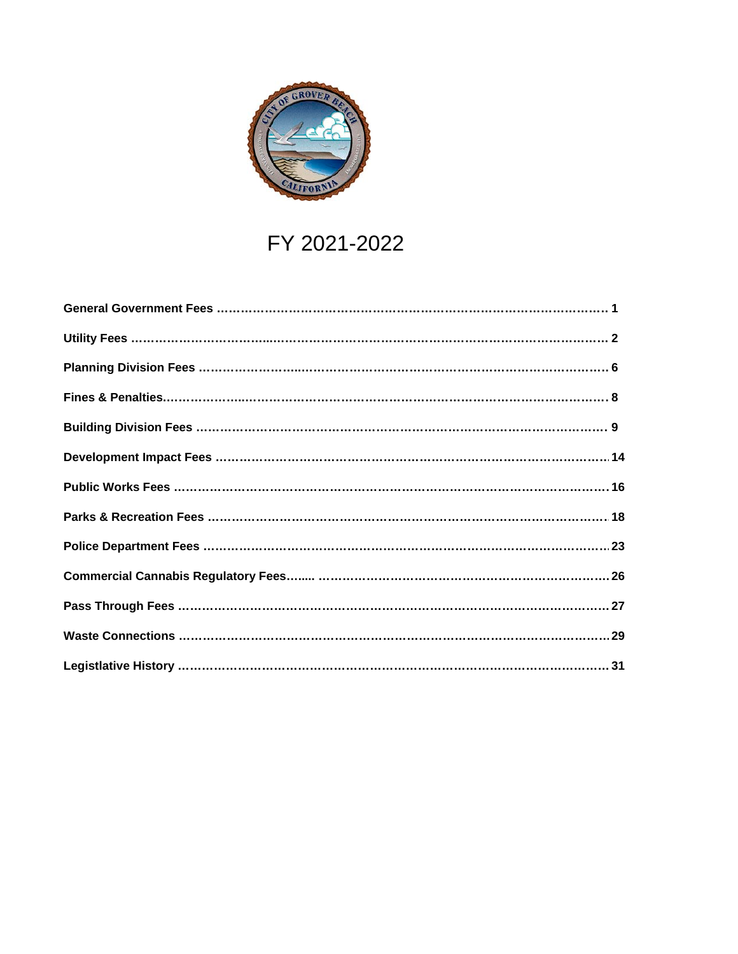

## FY 2021-2022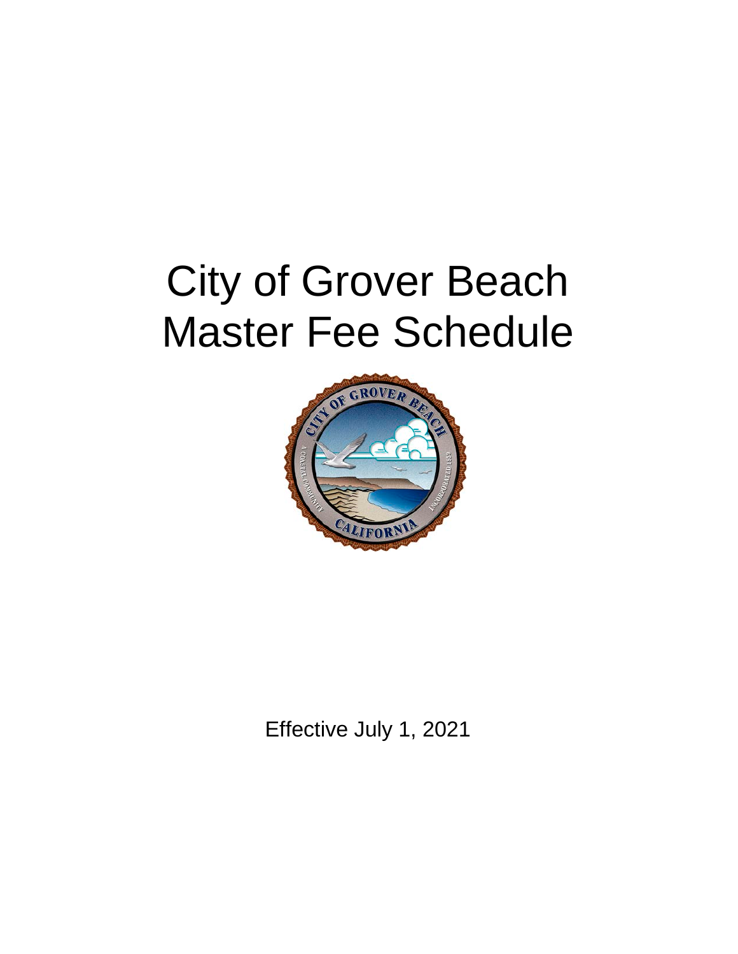# City of Grover Beach Master Fee Schedule



Effective July 1, 2021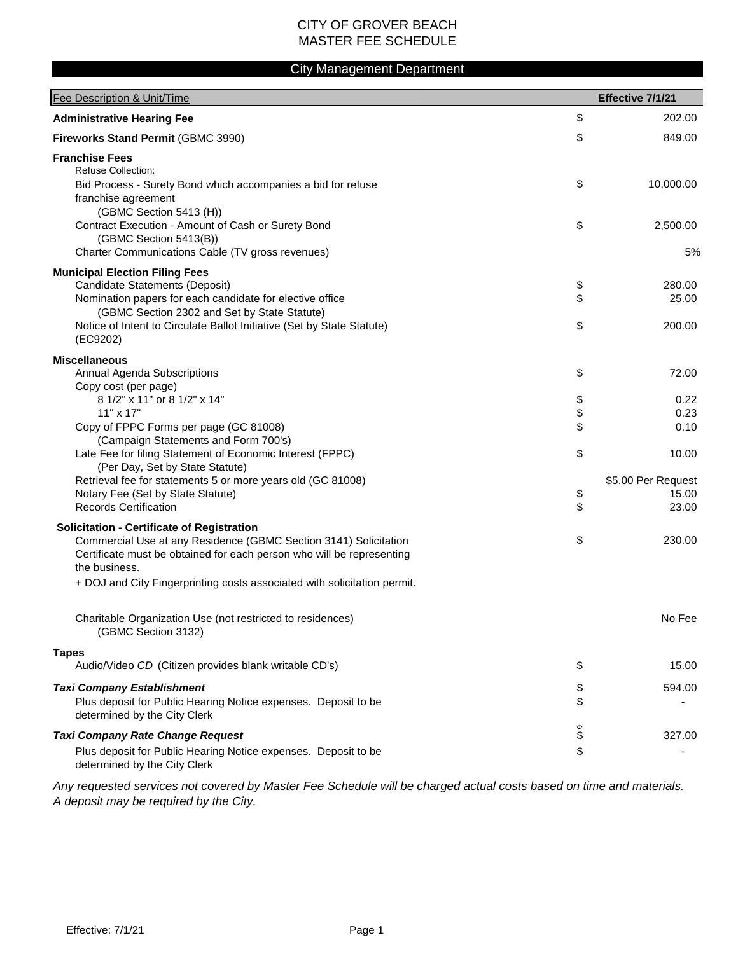#### City Management Department

| Fee Description & Unit/Time                                                                                                                                                                                                                                                                 |                | Effective 7/1/21                     |
|---------------------------------------------------------------------------------------------------------------------------------------------------------------------------------------------------------------------------------------------------------------------------------------------|----------------|--------------------------------------|
| <b>Administrative Hearing Fee</b>                                                                                                                                                                                                                                                           | \$             | 202.00                               |
| Fireworks Stand Permit (GBMC 3990)                                                                                                                                                                                                                                                          | \$             | 849.00                               |
| <b>Franchise Fees</b><br><b>Refuse Collection:</b><br>Bid Process - Surety Bond which accompanies a bid for refuse<br>franchise agreement                                                                                                                                                   | \$             | 10,000.00                            |
| (GBMC Section 5413 (H))<br>Contract Execution - Amount of Cash or Surety Bond<br>(GBMC Section 5413(B))<br>Charter Communications Cable (TV gross revenues)                                                                                                                                 | \$             | 2,500.00<br>5%                       |
| <b>Municipal Election Filing Fees</b><br>Candidate Statements (Deposit)<br>Nomination papers for each candidate for elective office<br>(GBMC Section 2302 and Set by State Statute)<br>Notice of Intent to Circulate Ballot Initiative (Set by State Statute)<br>(EC9202)                   | \$<br>\$<br>\$ | 280.00<br>25.00<br>200.00            |
| <b>Miscellaneous</b><br>Annual Agenda Subscriptions<br>Copy cost (per page)                                                                                                                                                                                                                 | \$             | 72.00                                |
| 8 1/2" x 11" or 8 1/2" x 14"<br>11" x 17"<br>Copy of FPPC Forms per page (GC 81008)                                                                                                                                                                                                         | \$<br>\$<br>\$ | 0.22<br>0.23<br>0.10                 |
| (Campaign Statements and Form 700's)<br>Late Fee for filing Statement of Economic Interest (FPPC)<br>(Per Day, Set by State Statute)                                                                                                                                                        | \$             | 10.00                                |
| Retrieval fee for statements 5 or more years old (GC 81008)<br>Notary Fee (Set by State Statute)<br><b>Records Certification</b>                                                                                                                                                            | \$<br>\$       | \$5.00 Per Request<br>15.00<br>23.00 |
| <b>Solicitation - Certificate of Registration</b><br>Commercial Use at any Residence (GBMC Section 3141) Solicitation<br>Certificate must be obtained for each person who will be representing<br>the business.<br>+ DOJ and City Fingerprinting costs associated with solicitation permit. | \$             | 230.00                               |
| Charitable Organization Use (not restricted to residences)<br>(GBMC Section 3132)                                                                                                                                                                                                           |                | No Fee                               |
| <b>Tapes</b><br>Audio/Video CD (Citizen provides blank writable CD's)                                                                                                                                                                                                                       | \$             | 15.00                                |
| <b>Taxi Company Establishment</b><br>Plus deposit for Public Hearing Notice expenses. Deposit to be<br>determined by the City Clerk                                                                                                                                                         | \$<br>\$       | 594.00                               |
| <b>Taxi Company Rate Change Request</b><br>Plus deposit for Public Hearing Notice expenses. Deposit to be<br>determined by the City Clerk                                                                                                                                                   | ሖ<br>\$<br>\$  | 327.00                               |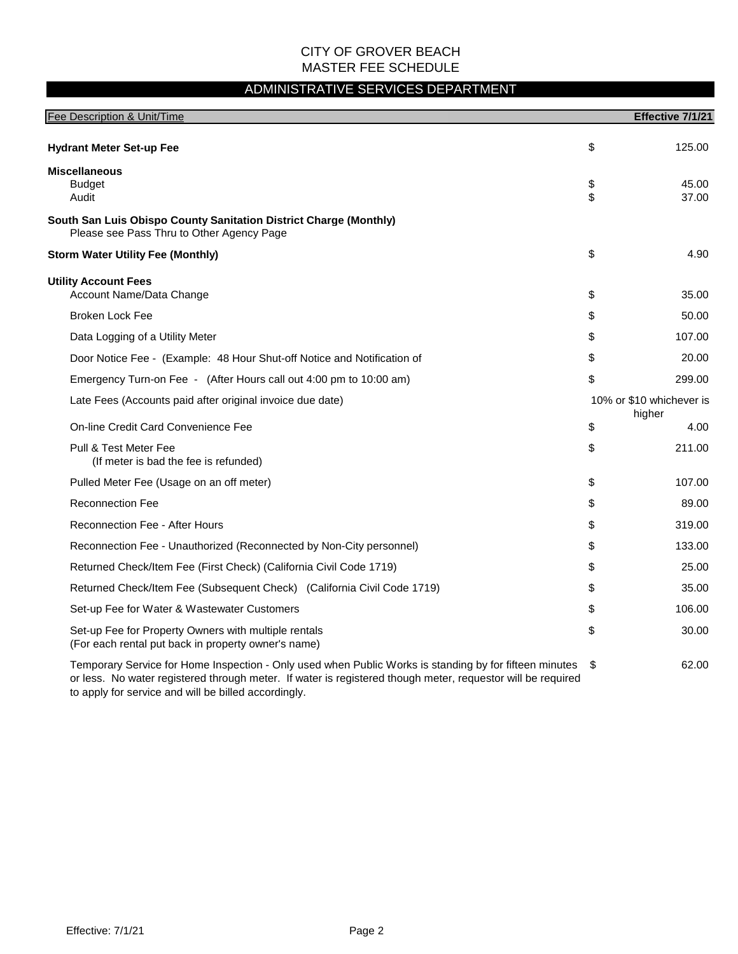### ADMINISTRATIVE SERVICES DEPARTMENT

| Fee Description & Unit/Time                                                                                                                                                                                           |          | Effective 7/1/21                   |
|-----------------------------------------------------------------------------------------------------------------------------------------------------------------------------------------------------------------------|----------|------------------------------------|
| <b>Hydrant Meter Set-up Fee</b>                                                                                                                                                                                       | \$       | 125.00                             |
| <b>Miscellaneous</b><br><b>Budget</b><br>Audit                                                                                                                                                                        | \$<br>\$ | 45.00<br>37.00                     |
| South San Luis Obispo County Sanitation District Charge (Monthly)<br>Please see Pass Thru to Other Agency Page                                                                                                        |          |                                    |
| <b>Storm Water Utility Fee (Monthly)</b>                                                                                                                                                                              | \$       | 4.90                               |
| <b>Utility Account Fees</b><br>Account Name/Data Change                                                                                                                                                               | \$       | 35.00                              |
| <b>Broken Lock Fee</b>                                                                                                                                                                                                | \$       | 50.00                              |
| Data Logging of a Utility Meter                                                                                                                                                                                       | \$       | 107.00                             |
| Door Notice Fee - (Example: 48 Hour Shut-off Notice and Notification of                                                                                                                                               | \$       | 20.00                              |
| Emergency Turn-on Fee - (After Hours call out 4:00 pm to 10:00 am)                                                                                                                                                    | \$       | 299.00                             |
| Late Fees (Accounts paid after original invoice due date)                                                                                                                                                             |          | 10% or \$10 whichever is<br>higher |
| On-line Credit Card Convenience Fee                                                                                                                                                                                   | \$       | 4.00                               |
| Pull & Test Meter Fee<br>(If meter is bad the fee is refunded)                                                                                                                                                        | \$       | 211.00                             |
| Pulled Meter Fee (Usage on an off meter)                                                                                                                                                                              | \$       | 107.00                             |
| <b>Reconnection Fee</b>                                                                                                                                                                                               | \$       | 89.00                              |
| <b>Reconnection Fee - After Hours</b>                                                                                                                                                                                 | \$       | 319.00                             |
| Reconnection Fee - Unauthorized (Reconnected by Non-City personnel)                                                                                                                                                   | \$       | 133.00                             |
| Returned Check/Item Fee (First Check) (California Civil Code 1719)                                                                                                                                                    | \$       | 25.00                              |
| Returned Check/Item Fee (Subsequent Check) (California Civil Code 1719)                                                                                                                                               | \$       | 35.00                              |
| Set-up Fee for Water & Wastewater Customers                                                                                                                                                                           | \$       | 106.00                             |
| Set-up Fee for Property Owners with multiple rentals<br>(For each rental put back in property owner's name)                                                                                                           | \$       | 30.00                              |
| Temporary Service for Home Inspection - Only used when Public Works is standing by for fifteen minutes<br>or less. No water registered through meter. If water is registered though meter, requestor will be required | \$       | 62.00                              |

to apply for service and will be billed accordingly.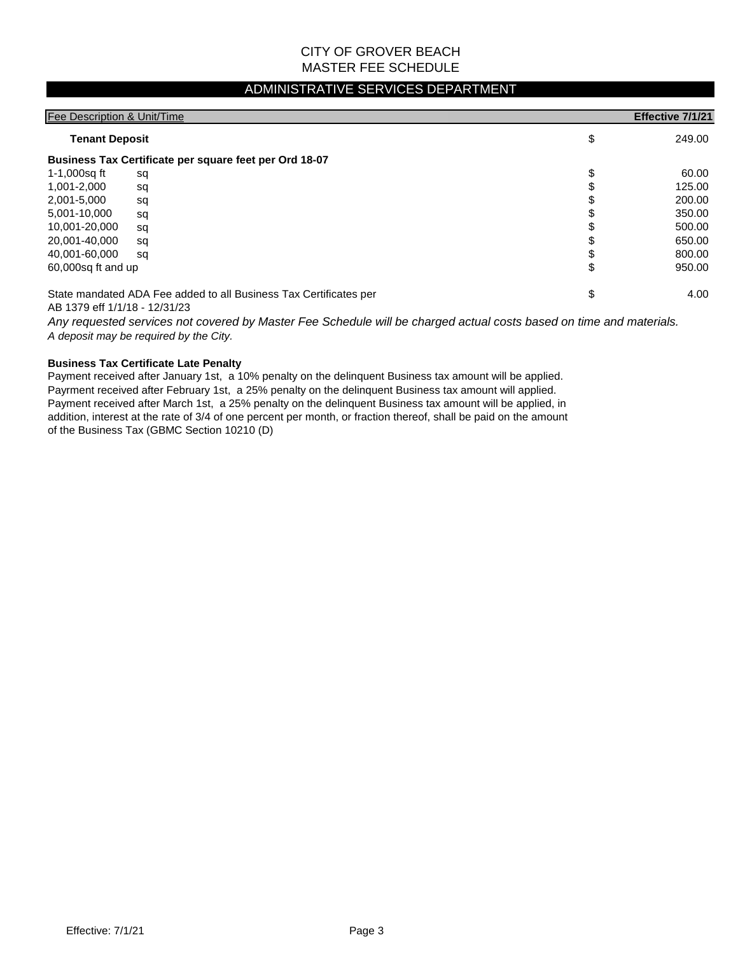#### ADMINISTRATIVE SERVICES DEPARTMENT

| Fee Description & Unit/Time |                                                                   |    | Effective 7/1/21 |
|-----------------------------|-------------------------------------------------------------------|----|------------------|
| <b>Tenant Deposit</b>       |                                                                   | \$ | 249.00           |
|                             | Business Tax Certificate per square feet per Ord 18-07            |    |                  |
| 1-1,000sq ft                | sq                                                                | \$ | 60.00            |
| 1,001-2,000                 | sq                                                                |    | 125.00           |
| 2,001-5,000                 | sq                                                                |    | 200.00           |
| 5,001-10,000                | sq                                                                |    | 350.00           |
| 10,001-20,000               | sq                                                                |    | 500.00           |
| 20,001-40,000               | sq                                                                | J  | 650.00           |
| 40,001-60,000               | sq                                                                |    | 800.00           |
| 60,000sq ft and up          |                                                                   | \$ | 950.00           |
|                             | State mandated ADA Fee added to all Business Tax Certificates per | \$ | 4.00             |

AB 1379 eff 1/1/18 - 12/31/23

*A deposit may be required by the City. Any requested services not covered by Master Fee Schedule will be charged actual costs based on time and materials.*

#### **Business Tax Certificate Late Penalty**

Payment received after January 1st, a 10% penalty on the delinquent Business tax amount will be applied. Payrment received after February 1st, a 25% penalty on the delinquent Business tax amount will applied. Payment received after March 1st, a 25% penalty on the delinquent Business tax amount will be applied, in addition, interest at the rate of 3/4 of one percent per month, or fraction thereof, shall be paid on the amount of the Business Tax (GBMC Section 10210 (D)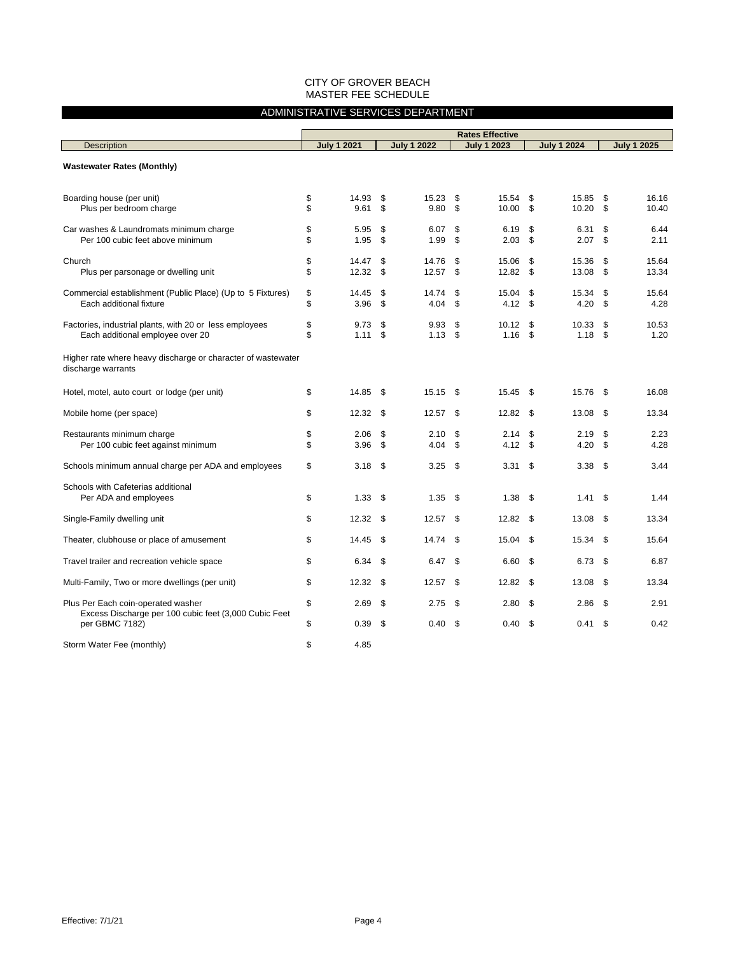#### ADMINISTRATIVE SERVICES DEPARTMENT

|                                                                                             | <b>Rates Effective</b> |                    |          |                    |          |                    |          |                    |          |                    |
|---------------------------------------------------------------------------------------------|------------------------|--------------------|----------|--------------------|----------|--------------------|----------|--------------------|----------|--------------------|
| <b>Description</b>                                                                          |                        | <b>July 1 2021</b> |          | <b>July 1 2022</b> |          | <b>July 1 2023</b> |          | <b>July 1 2024</b> |          | <b>July 1 2025</b> |
| <b>Wastewater Rates (Monthly)</b>                                                           |                        |                    |          |                    |          |                    |          |                    |          |                    |
| Boarding house (per unit)<br>Plus per bedroom charge                                        | \$<br>\$               | 14.93<br>9.61      | \$<br>\$ | 15.23<br>9.80      | \$<br>\$ | 15.54<br>10.00     | \$<br>\$ | 15.85<br>10.20     | \$<br>\$ | 16.16<br>10.40     |
| Car washes & Laundromats minimum charge<br>Per 100 cubic feet above minimum                 | \$<br>\$               | 5.95<br>1.95       | \$<br>\$ | 6.07<br>1.99       | \$<br>\$ | 6.19<br>2.03       | \$<br>\$ | 6.31<br>2.07       | \$<br>\$ | 6.44<br>2.11       |
| Church<br>Plus per parsonage or dwelling unit                                               | \$<br>\$               | 14.47<br>12.32     | \$<br>\$ | 14.76<br>12.57     | \$<br>S  | 15.06<br>12.82     | \$<br>\$ | 15.36<br>13.08     | \$<br>\$ | 15.64<br>13.34     |
| Commercial establishment (Public Place) (Up to 5 Fixtures)<br>Each additional fixture       | \$<br>\$               | 14.45<br>3.96      | \$<br>\$ | 14.74<br>4.04      | \$<br>\$ | 15.04<br>4.12      | \$<br>\$ | 15.34<br>4.20      | \$<br>\$ | 15.64<br>4.28      |
| Factories, industrial plants, with 20 or less employees<br>Each additional employee over 20 | \$<br>\$               | 9.73<br>1.11       | \$<br>\$ | 9.93<br>1.13       | \$<br>\$ | 10.12<br>1.16      | \$<br>\$ | 10.33<br>1.18      | \$<br>\$ | 10.53<br>1.20      |
| Higher rate where heavy discharge or character of wastewater<br>discharge warrants          |                        |                    |          |                    |          |                    |          |                    |          |                    |
| Hotel, motel, auto court or lodge (per unit)                                                | \$                     | 14.85              | \$       | 15.15              | \$       | 15.45              | \$       | 15.76              | \$       | 16.08              |
| Mobile home (per space)                                                                     | \$                     | 12.32              | \$       | 12.57              | \$       | 12.82              | -\$      | 13.08              | \$       | 13.34              |
| Restaurants minimum charge<br>Per 100 cubic feet against minimum                            | \$<br>\$               | 2.06<br>3.96       | \$<br>\$ | 2.10<br>4.04       | \$<br>\$ | 2.14<br>4.12       | \$<br>\$ | 2.19<br>4.20       | \$<br>\$ | 2.23<br>4.28       |
| Schools minimum annual charge per ADA and employees                                         | \$                     | 3.18               | \$       | 3.25               | \$       | 3.31               | \$       | 3.38               | \$       | 3.44               |
| Schools with Cafeterias additional<br>Per ADA and employees                                 | \$                     | 1.33               | \$       | 1.35               | \$       | 1.38               | \$       | 1.41               | \$       | 1.44               |
| Single-Family dwelling unit                                                                 | \$                     | 12.32              | \$       | 12.57              | \$       | 12.82              | \$       | 13.08              | \$       | 13.34              |
| Theater, clubhouse or place of amusement                                                    | \$                     | 14.45              | \$       | 14.74              | \$       | 15.04              | \$       | 15.34              | \$       | 15.64              |
| Travel trailer and recreation vehicle space                                                 | \$                     | 6.34               | \$       | 6.47               | \$       | 6.60               | \$       | 6.73               | \$       | 6.87               |
| Multi-Family, Two or more dwellings (per unit)                                              | \$                     | 12.32              | \$       | 12.57              | \$       | 12.82              | \$       | 13.08              | \$       | 13.34              |
| Plus Per Each coin-operated washer<br>Excess Discharge per 100 cubic feet (3,000 Cubic Feet | \$                     | 2.69               | \$       | 2.75               | \$       | 2.80               | \$       | 2.86               | \$       | 2.91               |
| per GBMC 7182)                                                                              | \$                     | 0.39               | \$       | 0.40               | \$       | 0.40               | \$       | 0.41               | \$       | 0.42               |
| Storm Water Fee (monthly)                                                                   | \$                     | 4.85               |          |                    |          |                    |          |                    |          |                    |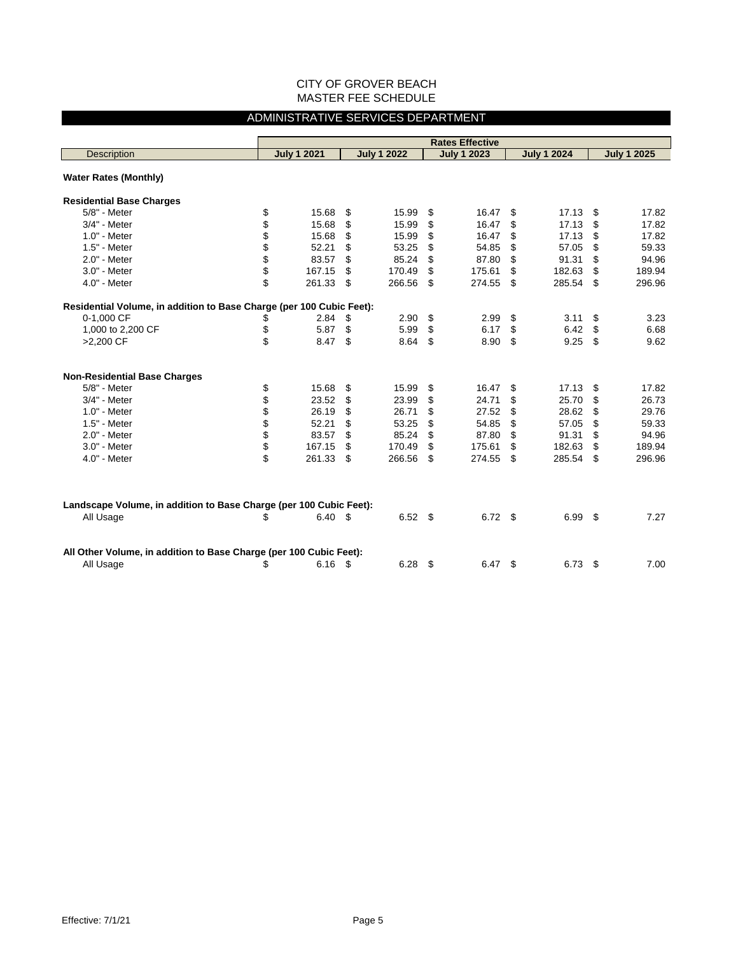#### ADMINISTRATIVE SERVICES DEPARTMENT

|                                                                                 |                         |                    | <b>Rates Effective</b> |                    |                    |
|---------------------------------------------------------------------------------|-------------------------|--------------------|------------------------|--------------------|--------------------|
| <b>Description</b>                                                              | <b>July 1 2021</b>      | <b>July 1 2022</b> | <b>July 1 2023</b>     | <b>July 1 2024</b> | <b>July 1 2025</b> |
|                                                                                 |                         |                    |                        |                    |                    |
| <b>Water Rates (Monthly)</b>                                                    |                         |                    |                        |                    |                    |
| <b>Residential Base Charges</b>                                                 |                         |                    |                        |                    |                    |
| 5/8" - Meter                                                                    | \$<br>15.68             | \$<br>15.99        | \$<br>16.47            | \$<br>17.13        | \$<br>17.82        |
| 3/4" - Meter                                                                    | \$<br>15.68             | \$<br>15.99        | \$<br>16.47            | \$<br>17.13        | \$<br>17.82        |
| 1.0" - Meter                                                                    | \$<br>15.68             | \$<br>15.99        | \$<br>16.47            | \$<br>17.13        | \$<br>17.82        |
| 1.5" - Meter                                                                    | \$<br>52.21             | \$<br>53.25        | \$<br>54.85            | \$<br>57.05        | \$<br>59.33        |
| 2.0" - Meter                                                                    | \$<br>83.57             | \$<br>85.24        | \$<br>87.80            | \$<br>91.31        | \$<br>94.96        |
| 3.0" - Meter                                                                    | \$<br>167.15            | \$<br>170.49       | \$<br>175.61           | \$<br>182.63       | \$<br>189.94       |
| 4.0" - Meter                                                                    | \$<br>261.33            | \$<br>266.56       | \$<br>274.55           | \$<br>285.54       | \$<br>296.96       |
| Residential Volume, in addition to Base Charge (per 100 Cubic Feet):            |                         |                    |                        |                    |                    |
| 0-1,000 CF                                                                      | \$<br>2.84              | \$<br>2.90         | \$<br>2.99             | \$<br>3.11         | \$<br>3.23         |
| 1,000 to 2,200 CF                                                               | \$<br>5.87              | \$<br>5.99         | \$<br>6.17             | \$<br>6.42         | \$<br>6.68         |
| >2,200 CF                                                                       | \$<br>8.47              | \$<br>8.64         | \$<br>8.90             | \$<br>9.25         | \$<br>9.62         |
|                                                                                 |                         |                    |                        |                    |                    |
| <b>Non-Residential Base Charges</b>                                             |                         |                    |                        |                    |                    |
| 5/8" - Meter                                                                    | \$<br>15.68             | \$<br>15.99        | \$<br>16.47            | \$<br>17.13        | \$<br>17.82        |
| 3/4" - Meter                                                                    | \$<br>23.52             | \$<br>23.99        | \$<br>24.71            | \$<br>25.70        | \$<br>26.73        |
| 1.0" - Meter                                                                    | \$<br>26.19             | \$<br>26.71        | \$<br>27.52            | \$<br>28.62        | \$<br>29.76        |
| 1.5" - Meter                                                                    | \$<br>52.21             | \$<br>53.25        | \$<br>54.85            | \$<br>57.05        | \$<br>59.33        |
| 2.0" - Meter                                                                    | \$<br>83.57             | \$<br>85.24        | \$<br>87.80            | \$<br>91.31        | \$<br>94.96        |
| 3.0" - Meter                                                                    | \$<br>167.15            | \$<br>170.49       | \$<br>175.61           | \$<br>182.63       | \$<br>189.94       |
| 4.0" - Meter                                                                    | \$<br>261.33            | \$<br>266.56       | \$<br>274.55           | \$<br>285.54       | \$<br>296.96       |
|                                                                                 |                         |                    |                        |                    |                    |
| Landscape Volume, in addition to Base Charge (per 100 Cubic Feet):              |                         |                    |                        |                    |                    |
| All Usage                                                                       | \$<br>6.40 <sup>5</sup> | 6.52 <sup>5</sup>  | 6.72 <sup>5</sup>      | 6.99               | \$<br>7.27         |
|                                                                                 |                         |                    |                        |                    |                    |
| All Other Volume, in addition to Base Charge (per 100 Cubic Feet):<br>All Usage | \$<br>$6.16$ \$         | $6.28$ \$          | $6.47\quad$            | 6.73               | \$<br>7.00         |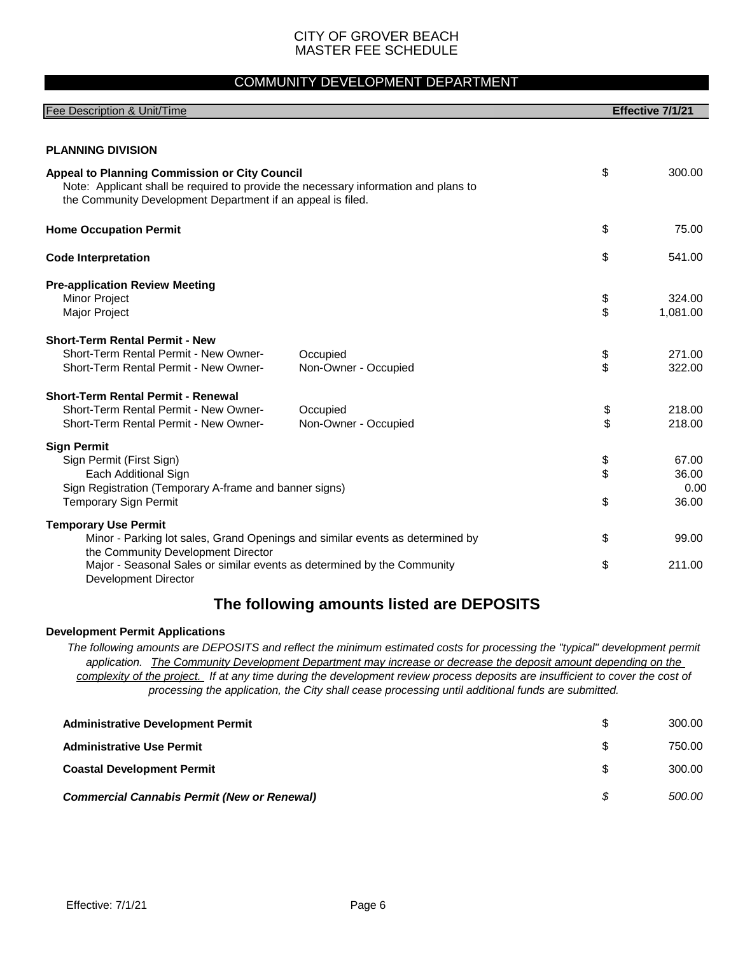#### COMMUNITY DEVELOPMENT DEPARTMENT

| Fee Description & Unit/Time                                                                                                                                                                         |                                                                                                                                                                                                                                              | Effective 7/1/21    |
|-----------------------------------------------------------------------------------------------------------------------------------------------------------------------------------------------------|----------------------------------------------------------------------------------------------------------------------------------------------------------------------------------------------------------------------------------------------|---------------------|
|                                                                                                                                                                                                     |                                                                                                                                                                                                                                              |                     |
| <b>PLANNING DIVISION</b>                                                                                                                                                                            |                                                                                                                                                                                                                                              |                     |
| Appeal to Planning Commission or City Council<br>Note: Applicant shall be required to provide the necessary information and plans to<br>the Community Development Department if an appeal is filed. |                                                                                                                                                                                                                                              | \$<br>300.00        |
| <b>Home Occupation Permit</b>                                                                                                                                                                       |                                                                                                                                                                                                                                              | \$<br>75.00         |
| <b>Code Interpretation</b>                                                                                                                                                                          |                                                                                                                                                                                                                                              | \$<br>541.00        |
| <b>Pre-application Review Meeting</b>                                                                                                                                                               |                                                                                                                                                                                                                                              |                     |
| <b>Minor Project</b>                                                                                                                                                                                |                                                                                                                                                                                                                                              | \$<br>324.00        |
| Major Project                                                                                                                                                                                       |                                                                                                                                                                                                                                              | \$<br>1,081.00      |
| <b>Short-Term Rental Permit - New</b>                                                                                                                                                               |                                                                                                                                                                                                                                              |                     |
| Short-Term Rental Permit - New Owner-                                                                                                                                                               | Occupied                                                                                                                                                                                                                                     | \$<br>271.00        |
| Short-Term Rental Permit - New Owner-                                                                                                                                                               | Non-Owner - Occupied                                                                                                                                                                                                                         | \$<br>322.00        |
| <b>Short-Term Rental Permit - Renewal</b>                                                                                                                                                           |                                                                                                                                                                                                                                              |                     |
| Short-Term Rental Permit - New Owner-                                                                                                                                                               | Occupied                                                                                                                                                                                                                                     | \$<br>218.00        |
| Short-Term Rental Permit - New Owner-                                                                                                                                                               | Non-Owner - Occupied                                                                                                                                                                                                                         | \$<br>218.00        |
| <b>Sign Permit</b>                                                                                                                                                                                  |                                                                                                                                                                                                                                              |                     |
| Sign Permit (First Sign)                                                                                                                                                                            |                                                                                                                                                                                                                                              | \$<br>67.00         |
| Each Additional Sign                                                                                                                                                                                |                                                                                                                                                                                                                                              | \$<br>36.00         |
| Sign Registration (Temporary A-frame and banner signs)<br><b>Temporary Sign Permit</b>                                                                                                              |                                                                                                                                                                                                                                              | \$<br>0.00<br>36.00 |
|                                                                                                                                                                                                     |                                                                                                                                                                                                                                              |                     |
| <b>Temporary Use Permit</b><br>Minor - Parking lot sales, Grand Openings and similar events as determined by<br>the Community Development Director                                                  |                                                                                                                                                                                                                                              | \$<br>99.00         |
| Major - Seasonal Sales or similar events as determined by the Community<br>Development Director                                                                                                     |                                                                                                                                                                                                                                              | \$<br>211.00        |
|                                                                                                                                                                                                     | The following amounts listed are DEPOSITS                                                                                                                                                                                                    |                     |
| <b>Development Permit Applications</b>                                                                                                                                                              |                                                                                                                                                                                                                                              |                     |
|                                                                                                                                                                                                     | The following amounts are DEPOSITS and reflect the minimum estimated costs for processing the "typical" development permit<br>application. The Community Development Department may increase ar decrease the deposit amount depending on the |                     |

*application. The Community Development Department may increase or decrease the deposit amount depending on the complexity of the project. If at any time during the development review process deposits are insufficient to cover the cost of processing the application, the City shall cease processing until additional funds are submitted.*

| <b>Administrative Development Permit</b>           |     | 300.00 |
|----------------------------------------------------|-----|--------|
| <b>Administrative Use Permit</b>                   | SS. | 750.00 |
| <b>Coastal Development Permit</b>                  | S.  | 300.00 |
| <b>Commercial Cannabis Permit (New or Renewal)</b> | \$  | 500.00 |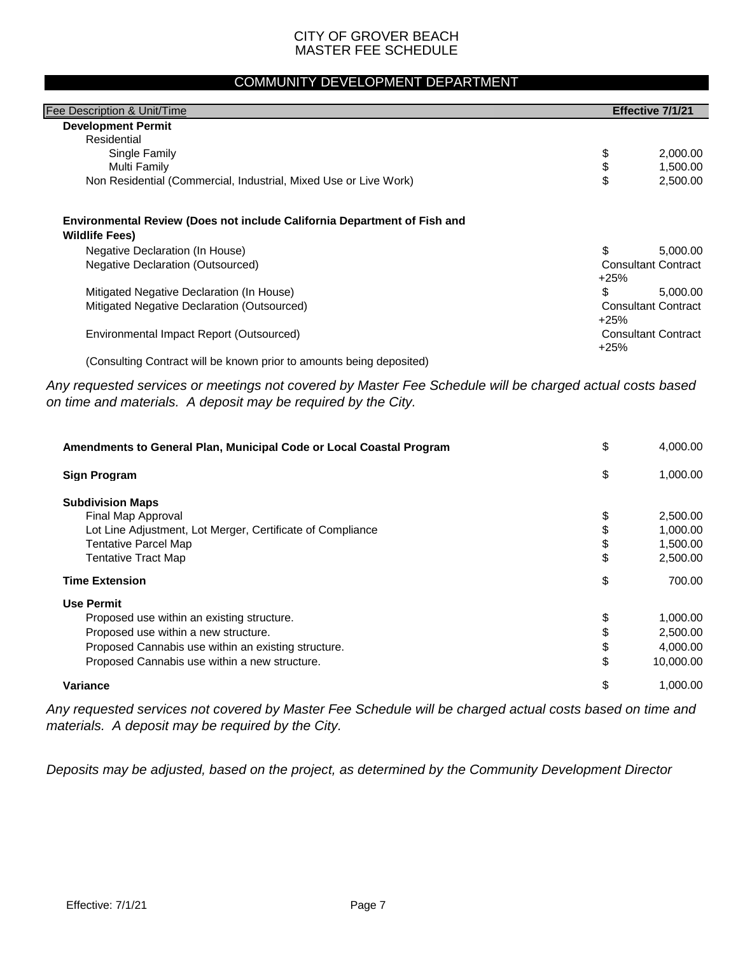#### COMMUNITY DEVELOPMENT DEPARTMENT

| Fee Description & Unit/Time.                                                                             |                            | Effective 7/1/21           |
|----------------------------------------------------------------------------------------------------------|----------------------------|----------------------------|
| <b>Development Permit</b>                                                                                |                            |                            |
| Residential                                                                                              |                            |                            |
| Single Family                                                                                            | \$                         | 2,000.00                   |
| Multi Family                                                                                             | \$                         | 1,500.00                   |
| Non Residential (Commercial, Industrial, Mixed Use or Live Work)                                         | \$                         | 2,500.00                   |
| <b>Environmental Review (Does not include California Department of Fish and</b><br><b>Wildlife Fees)</b> |                            |                            |
| Negative Declaration (In House)                                                                          | \$                         | 5,000.00                   |
| Negative Declaration (Outsourced)                                                                        | <b>Consultant Contract</b> |                            |
|                                                                                                          | $+25%$                     |                            |
| Mitigated Negative Declaration (In House)                                                                | \$                         | 5,000.00                   |
| Mitigated Negative Declaration (Outsourced)                                                              |                            | <b>Consultant Contract</b> |
|                                                                                                          | $+25%$                     |                            |
| Environmental Impact Report (Outsourced)                                                                 |                            | <b>Consultant Contract</b> |
|                                                                                                          | $+25%$                     |                            |
| (Consulting Contract will be known prior to amounts being deposited)                                     |                            |                            |

*Any requested services or meetings not covered by Master Fee Schedule will be charged actual costs based on time and materials. A deposit may be required by the City.*

| Amendments to General Plan, Municipal Code or Local Coastal Program | \$<br>4,000.00  |
|---------------------------------------------------------------------|-----------------|
| <b>Sign Program</b>                                                 | \$<br>1,000.00  |
| <b>Subdivision Maps</b>                                             |                 |
| Final Map Approval                                                  | \$<br>2,500.00  |
| Lot Line Adjustment, Lot Merger, Certificate of Compliance          | 1,000.00        |
| <b>Tentative Parcel Map</b>                                         | \$<br>1,500.00  |
| <b>Tentative Tract Map</b>                                          | \$<br>2,500.00  |
| <b>Time Extension</b>                                               | \$<br>700.00    |
| <b>Use Permit</b>                                                   |                 |
| Proposed use within an existing structure.                          | \$<br>1,000.00  |
| Proposed use within a new structure.                                | \$<br>2,500.00  |
| Proposed Cannabis use within an existing structure.                 | \$<br>4,000.00  |
| Proposed Cannabis use within a new structure.                       | \$<br>10,000.00 |
| <b>Variance</b>                                                     | \$<br>1.000.00  |

*Any requested services not covered by Master Fee Schedule will be charged actual costs based on time and materials. A deposit may be required by the City.*

*Deposits may be adjusted, based on the project, as determined by the Community Development Director*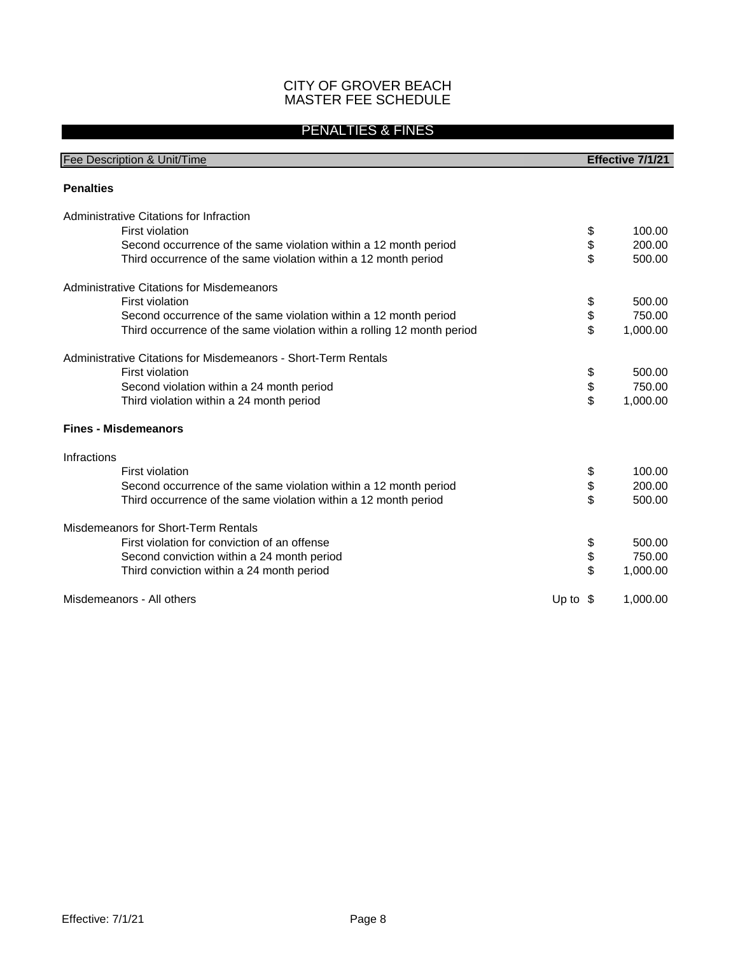#### PENALTIES & FINES

| Fee Description & Unit/Time                                             | Effective 7/1/21 |
|-------------------------------------------------------------------------|------------------|
| <b>Penalties</b>                                                        |                  |
|                                                                         |                  |
| Administrative Citations for Infraction                                 |                  |
| <b>First violation</b>                                                  | \$<br>100.00     |
| Second occurrence of the same violation within a 12 month period        | \$<br>200.00     |
| Third occurrence of the same violation within a 12 month period         | \$<br>500.00     |
| Administrative Citations for Misdemeanors                               |                  |
| First violation                                                         | \$<br>500.00     |
| Second occurrence of the same violation within a 12 month period        | \$<br>750.00     |
| Third occurrence of the same violation within a rolling 12 month period | \$<br>1,000.00   |
| Administrative Citations for Misdemeanors - Short-Term Rentals          |                  |
| First violation                                                         | \$<br>500.00     |
| Second violation within a 24 month period                               | \$<br>750.00     |
| Third violation within a 24 month period                                | \$<br>1,000.00   |
| <b>Fines - Misdemeanors</b>                                             |                  |
| Infractions                                                             |                  |
| First violation                                                         | \$<br>100.00     |
| Second occurrence of the same violation within a 12 month period        | \$<br>200.00     |
| Third occurrence of the same violation within a 12 month period         | \$<br>500.00     |
| Misdemeanors for Short-Term Rentals                                     |                  |
| First violation for conviction of an offense                            | \$<br>500.00     |
| Second conviction within a 24 month period                              | \$<br>750.00     |
| Third conviction within a 24 month period                               | \$<br>1,000.00   |
| Misdemeanors - All others<br>Up to $\sqrt{3}$                           | 1,000.00         |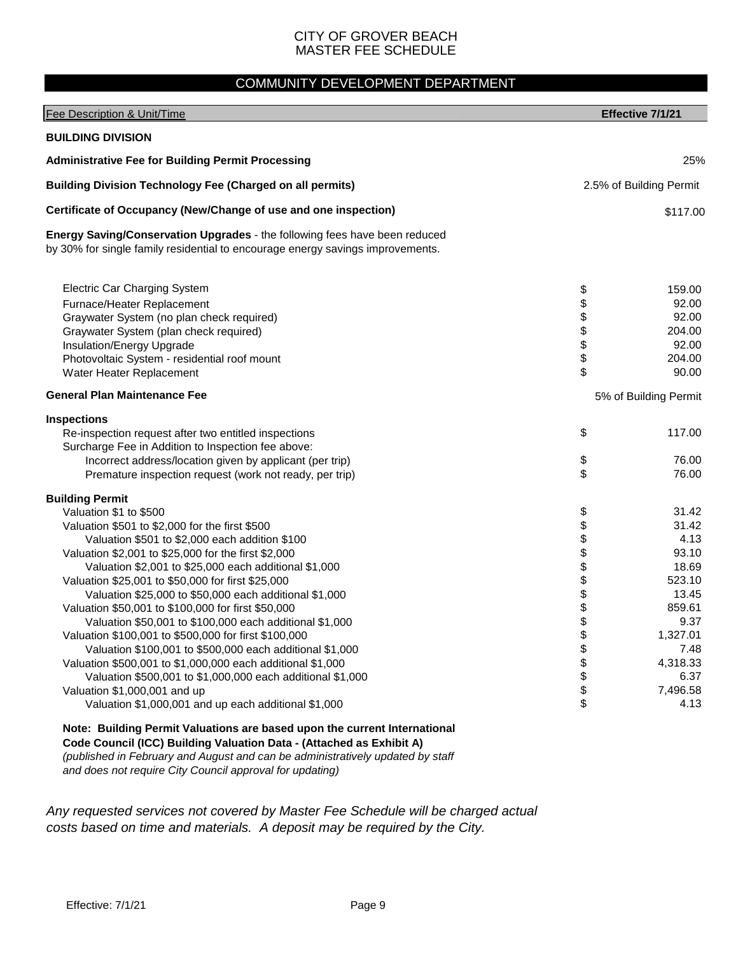#### COMMUNITY DEVELOPMENT DEPARTMENT

| Fee Description & Unit/Time                                                                                                                                                                                                                                                                                                                                                                                                                                                                                                                                                                                                                                                                                                                                                                                                                  |                                                                            | Effective 7/1/21                                                                                                                          |
|----------------------------------------------------------------------------------------------------------------------------------------------------------------------------------------------------------------------------------------------------------------------------------------------------------------------------------------------------------------------------------------------------------------------------------------------------------------------------------------------------------------------------------------------------------------------------------------------------------------------------------------------------------------------------------------------------------------------------------------------------------------------------------------------------------------------------------------------|----------------------------------------------------------------------------|-------------------------------------------------------------------------------------------------------------------------------------------|
| <b>BUILDING DIVISION</b>                                                                                                                                                                                                                                                                                                                                                                                                                                                                                                                                                                                                                                                                                                                                                                                                                     |                                                                            |                                                                                                                                           |
| <b>Administrative Fee for Building Permit Processing</b>                                                                                                                                                                                                                                                                                                                                                                                                                                                                                                                                                                                                                                                                                                                                                                                     |                                                                            | 25%                                                                                                                                       |
| <b>Building Division Technology Fee (Charged on all permits)</b>                                                                                                                                                                                                                                                                                                                                                                                                                                                                                                                                                                                                                                                                                                                                                                             |                                                                            | 2.5% of Building Permit                                                                                                                   |
| Certificate of Occupancy (New/Change of use and one inspection)                                                                                                                                                                                                                                                                                                                                                                                                                                                                                                                                                                                                                                                                                                                                                                              |                                                                            | \$117.00                                                                                                                                  |
| Energy Saving/Conservation Upgrades - the following fees have been reduced<br>by 30% for single family residential to encourage energy savings improvements.                                                                                                                                                                                                                                                                                                                                                                                                                                                                                                                                                                                                                                                                                 |                                                                            |                                                                                                                                           |
| <b>Electric Car Charging System</b><br>Furnace/Heater Replacement<br>Graywater System (no plan check required)<br>Graywater System (plan check required)<br>Insulation/Energy Upgrade<br>Photovoltaic System - residential roof mount<br>Water Heater Replacement                                                                                                                                                                                                                                                                                                                                                                                                                                                                                                                                                                            | \$\$\$\$\$\$<br>\$                                                         | 159.00<br>92.00<br>92.00<br>204.00<br>92.00<br>204.00<br>90.00                                                                            |
| <b>General Plan Maintenance Fee</b>                                                                                                                                                                                                                                                                                                                                                                                                                                                                                                                                                                                                                                                                                                                                                                                                          | 5% of Building Permit                                                      |                                                                                                                                           |
| <b>Inspections</b><br>Re-inspection request after two entitled inspections<br>Surcharge Fee in Addition to Inspection fee above:<br>Incorrect address/location given by applicant (per trip)<br>Premature inspection request (work not ready, per trip)                                                                                                                                                                                                                                                                                                                                                                                                                                                                                                                                                                                      | \$<br>\$<br>\$                                                             | 117.00<br>76.00<br>76.00                                                                                                                  |
| <b>Building Permit</b><br>Valuation \$1 to \$500<br>Valuation \$501 to \$2,000 for the first \$500<br>Valuation \$501 to \$2,000 each addition \$100<br>Valuation \$2,001 to \$25,000 for the first \$2,000<br>Valuation \$2,001 to \$25,000 each additional \$1,000<br>Valuation \$25,001 to \$50,000 for first \$25,000<br>Valuation \$25,000 to \$50,000 each additional \$1,000<br>Valuation \$50,001 to \$100,000 for first \$50,000<br>Valuation \$50,001 to \$100,000 each additional \$1,000<br>Valuation \$100,001 to \$500,000 for first \$100,000<br>Valuation \$100,001 to \$500,000 each additional \$1,000<br>Valuation \$500,001 to \$1,000,000 each additional \$1,000<br>Valuation \$500,001 to \$1,000,000 each additional \$1,000<br>Valuation \$1,000,001 and up<br>Valuation \$1,000,001 and up each additional \$1,000 | \$<br>\$<br>\$<br>\$<br>\$<br>\$<br>\$<br>\$<br>\$<br>\$<br>\$<br>\$<br>\$ | 31.42<br>31.42<br>4.13<br>93.10<br>18.69<br>523.10<br>13.45<br>859.61<br>9.37<br>1,327.01<br>7.48<br>4,318.33<br>6.37<br>7,496.58<br>4.13 |
| Note: Building Permit Valuations are based upon the current International                                                                                                                                                                                                                                                                                                                                                                                                                                                                                                                                                                                                                                                                                                                                                                    |                                                                            |                                                                                                                                           |

**Code Council (ICC) Building Valuation Data - (Attached as Exhibit A)** 

*(published in February and August and can be administratively updated by staff and does not require City Council approval for updating)*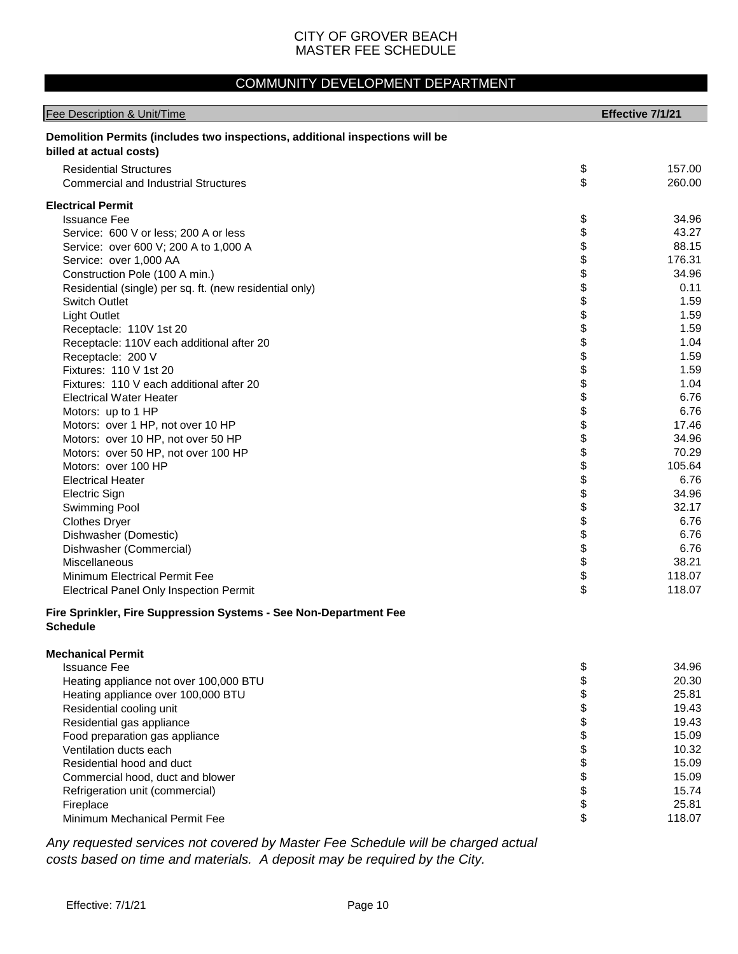### COMMUNITY DEVELOPMENT DEPARTMENT

| Fee Description & Unit/Time                                                                             |          | Effective 7/1/21 |
|---------------------------------------------------------------------------------------------------------|----------|------------------|
| Demolition Permits (includes two inspections, additional inspections will be<br>billed at actual costs) |          |                  |
| <b>Residential Structures</b><br><b>Commercial and Industrial Structures</b>                            | \$<br>\$ | 157.00<br>260.00 |
| <b>Electrical Permit</b>                                                                                |          |                  |
| <b>Issuance Fee</b>                                                                                     | \$       | 34.96            |
| Service: 600 V or less; 200 A or less                                                                   | \$       | 43.27            |
| Service: over 600 V; 200 A to 1,000 A                                                                   | \$       | 88.15            |
| Service: over 1,000 AA                                                                                  | \$       | 176.31           |
| Construction Pole (100 A min.)                                                                          | \$       | 34.96            |
| Residential (single) per sq. ft. (new residential only)                                                 | \$       | 0.11             |
| Switch Outlet                                                                                           | \$       | 1.59             |
| <b>Light Outlet</b>                                                                                     | \$       | 1.59             |
| Receptacle: 110V 1st 20                                                                                 | \$       | 1.59             |
| Receptacle: 110V each additional after 20                                                               | \$       | 1.04             |
| Receptacle: 200 V                                                                                       | \$       | 1.59             |
| Fixtures: 110 V 1st 20                                                                                  | \$       | 1.59             |
| Fixtures: 110 V each additional after 20                                                                | \$       | 1.04             |
| <b>Electrical Water Heater</b>                                                                          | \$       | 6.76             |
| Motors: up to 1 HP                                                                                      | \$       | 6.76             |
| Motors: over 1 HP, not over 10 HP                                                                       | \$       | 17.46            |
| Motors: over 10 HP, not over 50 HP                                                                      | \$       | 34.96            |
| Motors: over 50 HP, not over 100 HP                                                                     | \$       | 70.29            |
| Motors: over 100 HP                                                                                     | \$       | 105.64           |
| <b>Electrical Heater</b>                                                                                | \$       | 6.76             |
| <b>Electric Sign</b>                                                                                    | \$<br>\$ | 34.96<br>32.17   |
| Swimming Pool                                                                                           | \$       | 6.76             |
| <b>Clothes Dryer</b><br>Dishwasher (Domestic)                                                           | \$       | 6.76             |
| Dishwasher (Commercial)                                                                                 | \$       | 6.76             |
| Miscellaneous                                                                                           | \$       | 38.21            |
| <b>Minimum Electrical Permit Fee</b>                                                                    | \$       | 118.07           |
| <b>Electrical Panel Only Inspection Permit</b>                                                          | \$       | 118.07           |
| Fire Sprinkler, Fire Suppression Systems - See Non-Department Fee                                       |          |                  |
| <b>Schedule</b>                                                                                         |          |                  |
| <b>Mechanical Permit</b>                                                                                |          |                  |
| <b>Issuance Fee</b>                                                                                     | \$       | 34.96            |
| Heating appliance not over 100,000 BTU                                                                  | \$       | 20.30            |
| Heating appliance over 100,000 BTU                                                                      | \$       | 25.81            |
| Residential cooling unit                                                                                | \$       | 19.43            |
| Residential gas appliance                                                                               | \$       | 19.43            |
| Food preparation gas appliance                                                                          | \$       | 15.09            |
| Ventilation ducts each                                                                                  | \$       | 10.32            |
| Residential hood and duct                                                                               | \$       | 15.09            |
| Commercial hood, duct and blower                                                                        | \$       | 15.09            |
| Refrigeration unit (commercial)                                                                         | \$       | 15.74            |
| Fireplace                                                                                               | \$       | 25.81            |
| Minimum Mechanical Permit Fee                                                                           | \$       | 118.07           |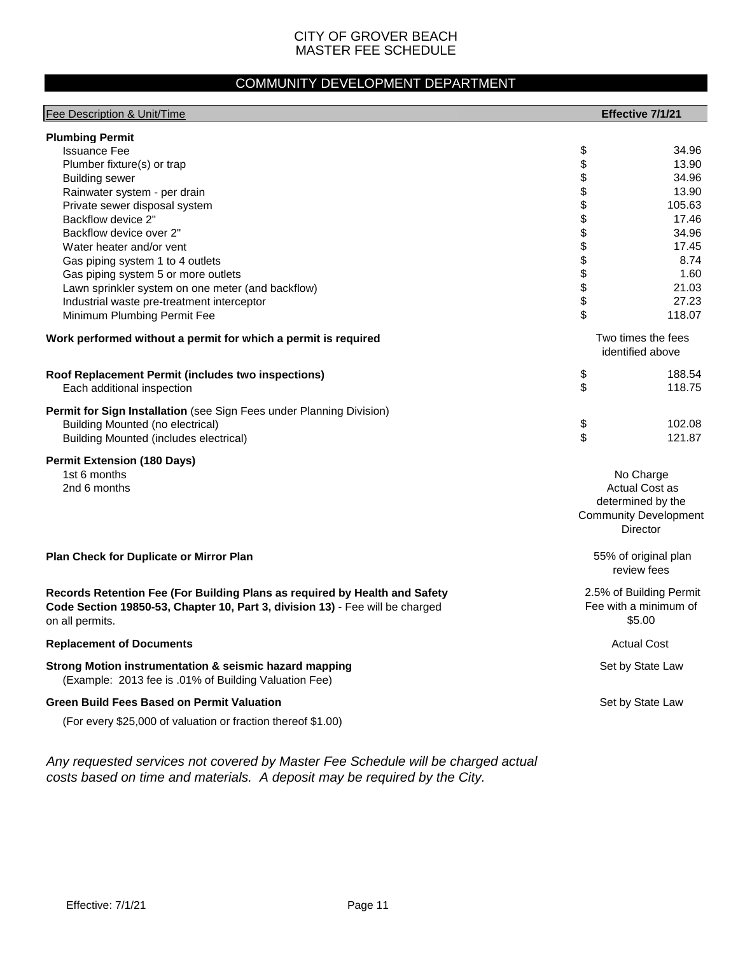### COMMUNITY DEVELOPMENT DEPARTMENT

| Fee Description & Unit/Time                                                   |          | Effective 7/1/21             |
|-------------------------------------------------------------------------------|----------|------------------------------|
| <b>Plumbing Permit</b>                                                        |          |                              |
| <b>Issuance Fee</b>                                                           | \$       | 34.96                        |
| Plumber fixture(s) or trap                                                    | \$       | 13.90                        |
| <b>Building sewer</b>                                                         | \$       | 34.96                        |
| Rainwater system - per drain                                                  | \$       | 13.90                        |
| Private sewer disposal system                                                 | \$       | 105.63                       |
| Backflow device 2"                                                            | \$       | 17.46                        |
| Backflow device over 2"                                                       | \$       | 34.96                        |
| Water heater and/or vent                                                      | \$       | 17.45                        |
| Gas piping system 1 to 4 outlets                                              | \$       | 8.74                         |
| Gas piping system 5 or more outlets                                           | \$       | 1.60                         |
| Lawn sprinkler system on one meter (and backflow)                             | \$       | 21.03                        |
| Industrial waste pre-treatment interceptor                                    | \$<br>\$ | 27.23                        |
| Minimum Plumbing Permit Fee                                                   |          | 118.07                       |
| Work performed without a permit for which a permit is required                |          | Two times the fees           |
|                                                                               |          | identified above             |
| Roof Replacement Permit (includes two inspections)                            | \$       | 188.54                       |
| Each additional inspection                                                    | \$       | 118.75                       |
|                                                                               |          |                              |
| Permit for Sign Installation (see Sign Fees under Planning Division)          |          |                              |
| <b>Building Mounted (no electrical)</b>                                       | \$       | 102.08                       |
| <b>Building Mounted (includes electrical)</b>                                 | \$       | 121.87                       |
| <b>Permit Extension (180 Days)</b>                                            |          |                              |
| 1st 6 months                                                                  |          | No Charge                    |
| 2nd 6 months                                                                  |          | <b>Actual Cost as</b>        |
|                                                                               |          | determined by the            |
|                                                                               |          | <b>Community Development</b> |
|                                                                               |          | Director                     |
| Plan Check for Duplicate or Mirror Plan                                       |          | 55% of original plan         |
|                                                                               |          | review fees                  |
| Records Retention Fee (For Building Plans as required by Health and Safety    |          | 2.5% of Building Permit      |
| Code Section 19850-53, Chapter 10, Part 3, division 13) - Fee will be charged |          | Fee with a minimum of        |
| on all permits.                                                               |          | \$5.00                       |
| <b>Replacement of Documents</b>                                               |          | <b>Actual Cost</b>           |
| Strong Motion instrumentation & seismic hazard mapping                        |          | Set by State Law             |
| (Example: 2013 fee is .01% of Building Valuation Fee)                         |          |                              |
| <b>Green Build Fees Based on Permit Valuation</b>                             |          | Set by State Law             |
|                                                                               |          |                              |
| (For every \$25,000 of valuation or fraction thereof \$1.00)                  |          |                              |
|                                                                               |          |                              |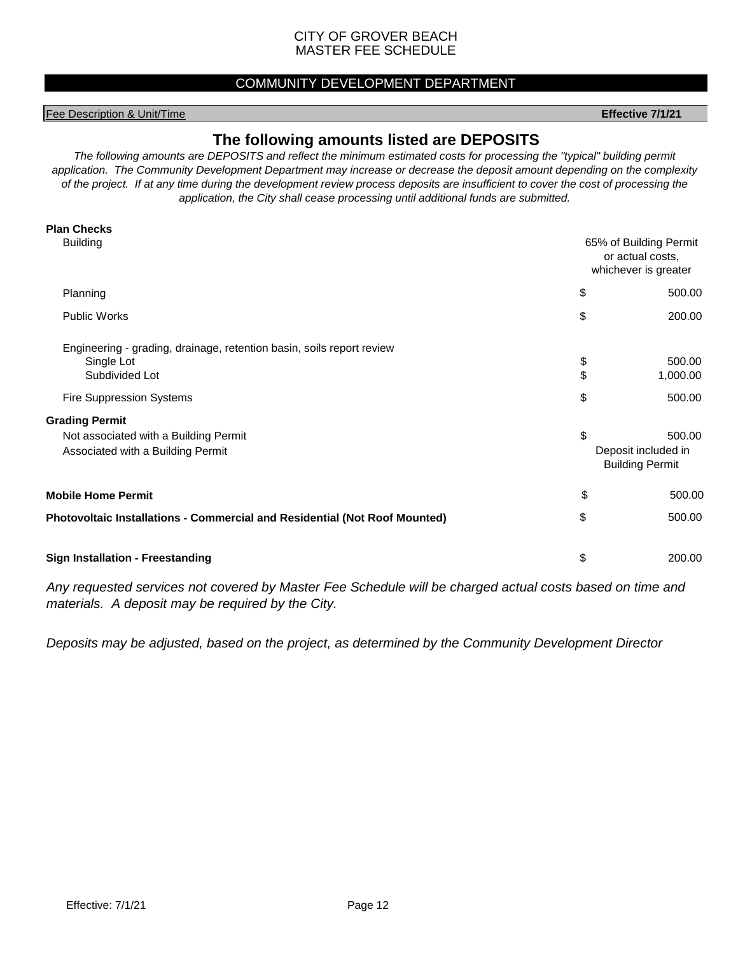#### COMMUNITY DEVELOPMENT DEPARTMENT

#### Fee Description & Unit/Time **Effective 7/1/21**

#### **The following amounts listed are DEPOSITS**

*The following amounts are DEPOSITS and reflect the minimum estimated costs for processing the "typical" building permit application. The Community Development Department may increase or decrease the deposit amount depending on the complexity of the project. If at any time during the development review process deposits are insufficient to cover the cost of processing the application, the City shall cease processing until additional funds are submitted.*

| <b>Plan Checks</b>                                                                                                                                                |                                                                    |                                                         |  |
|-------------------------------------------------------------------------------------------------------------------------------------------------------------------|--------------------------------------------------------------------|---------------------------------------------------------|--|
| <b>Building</b>                                                                                                                                                   | 65% of Building Permit<br>or actual costs,<br>whichever is greater |                                                         |  |
| Planning                                                                                                                                                          | \$                                                                 | 500.00                                                  |  |
| <b>Public Works</b>                                                                                                                                               | \$                                                                 | 200.00                                                  |  |
| Engineering - grading, drainage, retention basin, soils report review<br>Single Lot<br>Subdivided Lot<br><b>Fire Suppression Systems</b><br><b>Grading Permit</b> | \$<br>\$                                                           | 500.00<br>1,000.00<br>500.00                            |  |
| Not associated with a Building Permit<br>Associated with a Building Permit                                                                                        | \$                                                                 | 500.00<br>Deposit included in<br><b>Building Permit</b> |  |
| <b>Mobile Home Permit</b>                                                                                                                                         | \$                                                                 | 500.00                                                  |  |
| Photovoltaic Installations - Commercial and Residential (Not Roof Mounted)                                                                                        | \$                                                                 | 500.00                                                  |  |
| <b>Sign Installation - Freestanding</b>                                                                                                                           | \$                                                                 | 200.00                                                  |  |

*Any requested services not covered by Master Fee Schedule will be charged actual costs based on time and materials. A deposit may be required by the City.*

*Deposits may be adjusted, based on the project, as determined by the Community Development Director*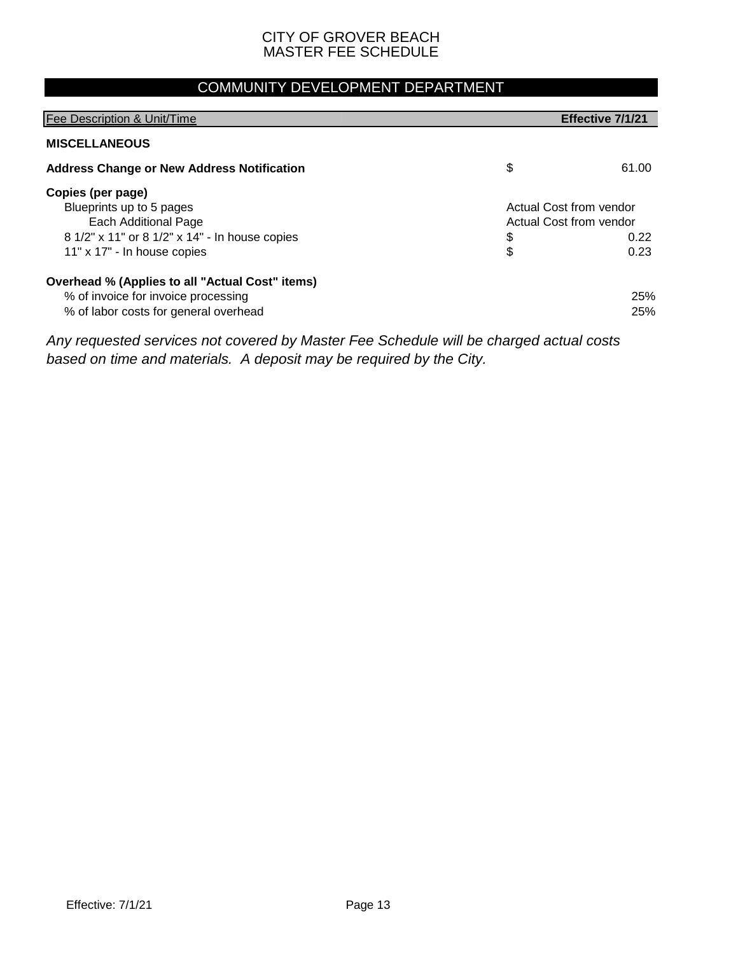### COMMUNITY DEVELOPMENT DEPARTMENT

| Fee Description & Unit/Time                                                                                                                            |          | Effective 7/1/21                                                   |
|--------------------------------------------------------------------------------------------------------------------------------------------------------|----------|--------------------------------------------------------------------|
| <b>MISCELLANEOUS</b>                                                                                                                                   |          |                                                                    |
| <b>Address Change or New Address Notification</b>                                                                                                      | \$       | 61.00                                                              |
| Copies (per page)<br>Blueprints up to 5 pages<br>Each Additional Page<br>8 1/2" x 11" or 8 1/2" x 14" - In house copies<br>11" x 17" - In house copies | \$<br>\$ | Actual Cost from vendor<br>Actual Cost from vendor<br>0.22<br>0.23 |
| Overhead % (Applies to all "Actual Cost" items)<br>% of invoice for invoice processing<br>% of labor costs for general overhead                        |          | 25%<br>25%                                                         |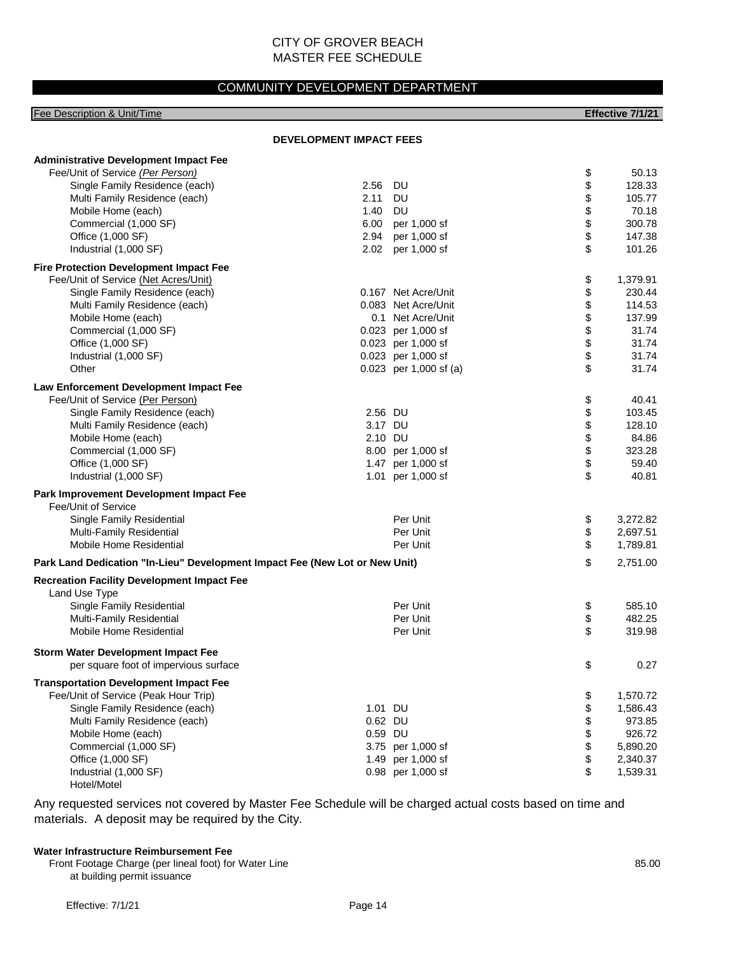#### COMMUNITY DEVELOPMENT DEPARTMENT

| Fee Description & Unit/Time                                                 |                                |                        |                | Effective 7/1/21 |
|-----------------------------------------------------------------------------|--------------------------------|------------------------|----------------|------------------|
|                                                                             | <b>DEVELOPMENT IMPACT FEES</b> |                        |                |                  |
| <b>Administrative Development Impact Fee</b>                                |                                |                        |                |                  |
| Fee/Unit of Service (Per Person)                                            |                                |                        | \$             | 50.13            |
| Single Family Residence (each)                                              | 2.56                           | DU                     | \$             | 128.33           |
| Multi Family Residence (each)                                               | 2.11                           | <b>DU</b>              |                | 105.77           |
| Mobile Home (each)                                                          | 1.40                           | <b>DU</b>              |                | 70.18            |
| Commercial (1,000 SF)                                                       | 6.00                           | per 1,000 sf           | \$\$\$\$       | 300.78           |
| Office (1,000 SF)                                                           | 2.94                           | per 1,000 sf           |                | 147.38           |
| Industrial (1,000 SF)                                                       | 2.02                           | per 1,000 sf           | \$             | 101.26           |
| <b>Fire Protection Development Impact Fee</b>                               |                                |                        |                |                  |
| Fee/Unit of Service (Net Acres/Unit)                                        |                                |                        |                | 1,379.91         |
| Single Family Residence (each)                                              |                                | 0.167 Net Acre/Unit    | \$             | 230.44           |
| Multi Family Residence (each)                                               |                                | 0.083 Net Acre/Unit    |                | 114.53           |
| Mobile Home (each)                                                          |                                | 0.1 Net Acre/Unit      |                | 137.99           |
| Commercial (1,000 SF)                                                       |                                | 0.023 per 1,000 sf     |                | 31.74            |
| Office (1,000 SF)                                                           |                                | 0.023 per 1,000 sf     |                | 31.74            |
| Industrial (1,000 SF)                                                       |                                | 0.023 per 1,000 sf     | \$\$\$\$\$     | 31.74            |
| Other                                                                       |                                | 0.023 per 1,000 sf (a) | \$             | 31.74            |
| Law Enforcement Development Impact Fee                                      |                                |                        |                |                  |
| Fee/Unit of Service (Per Person)                                            |                                |                        |                | 40.41            |
| Single Family Residence (each)                                              | 2.56 DU                        |                        | \$\$\$\$\$\$\$ | 103.45           |
| Multi Family Residence (each)                                               | 3.17 DU                        |                        |                | 128.10           |
| Mobile Home (each)                                                          | 2.10 DU                        |                        |                | 84.86            |
| Commercial (1,000 SF)                                                       |                                | 8.00 per 1,000 sf      |                | 323.28           |
| Office (1,000 SF)                                                           |                                | 1.47 per 1,000 sf      |                | 59.40            |
| Industrial (1,000 SF)                                                       |                                | 1.01 per 1,000 sf      | \$             | 40.81            |
| Park Improvement Development Impact Fee                                     |                                |                        |                |                  |
| Fee/Unit of Service                                                         |                                |                        |                |                  |
| Single Family Residential                                                   |                                | Per Unit               | \$             | 3,272.82         |
| Multi-Family Residential                                                    |                                | Per Unit               | \$             | 2,697.51         |
| Mobile Home Residential                                                     |                                | Per Unit               | \$             | 1,789.81         |
| Park Land Dedication "In-Lieu" Development Impact Fee (New Lot or New Unit) |                                |                        | \$             | 2,751.00         |
| <b>Recreation Facility Development Impact Fee</b>                           |                                |                        |                |                  |
| Land Use Type                                                               |                                |                        |                |                  |
| Single Family Residential                                                   |                                | Per Unit               | \$             | 585.10           |
| Multi-Family Residential                                                    |                                | Per Unit               | \$             | 482.25           |
| Mobile Home Residential                                                     |                                | Per Unit               | \$             | 319.98           |
| <b>Storm Water Development Impact Fee</b>                                   |                                |                        |                |                  |
| per square foot of impervious surface                                       |                                |                        | \$             | 0.27             |
| <b>Transportation Development Impact Fee</b>                                |                                |                        |                |                  |
| Fee/Unit of Service (Peak Hour Trip)                                        |                                |                        | \$             | 1,570.72         |
| Single Family Residence (each)                                              | 1.01 DU                        |                        | \$             | 1,586.43         |
| Multi Family Residence (each)                                               | 0.62 DU                        |                        | \$             | 973.85           |
| Mobile Home (each)                                                          | 0.59 DU                        |                        | \$             | 926.72           |
| Commercial (1,000 SF)                                                       |                                | 3.75 per 1,000 sf      | \$             | 5,890.20         |
| Office (1,000 SF)                                                           |                                | 1.49 per 1,000 sf      |                | 2,340.37         |
| Industrial (1,000 SF)<br>Hotel/Motel                                        |                                | 0.98 per 1,000 sf      | \$             | 1,539.31         |

Any requested services not covered by Master Fee Schedule will be charged actual costs based on time and materials. A deposit may be required by the City.

#### **Water Infrastructure Reimbursement Fee**

Front Footage Charge (per lineal foot) for Water Line 85.00 at building permit issuance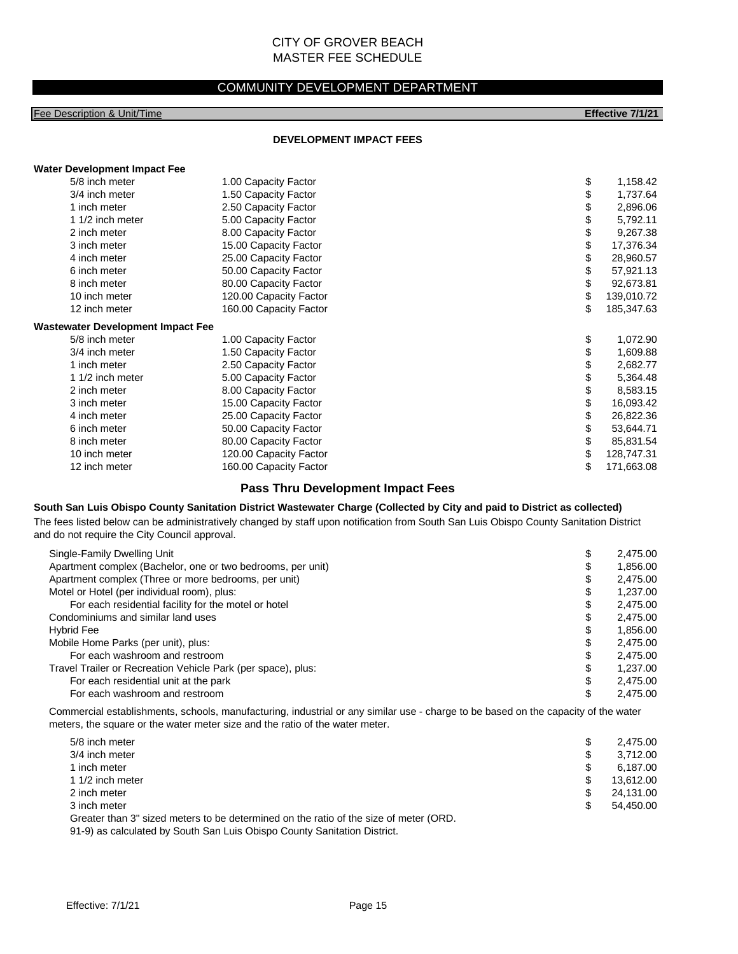#### COMMUNITY DEVELOPMENT DEPARTMENT

#### Fee Description & Unit/Time **Effective 7/1/21**

#### **DEVELOPMENT IMPACT FEES**

#### **Water Development Impact Fee**

| 5/8 inch meter   | 1.00 Capacity Factor   | \$                                       | 1,158.42   |
|------------------|------------------------|------------------------------------------|------------|
| 3/4 inch meter   | 1.50 Capacity Factor   | \$                                       | 1,737.64   |
| 1 inch meter     | 2.50 Capacity Factor   | \$                                       | 2,896.06   |
| 1 1/2 inch meter | 5.00 Capacity Factor   | \$                                       | 5,792.11   |
| 2 inch meter     | 8.00 Capacity Factor   | \$                                       | 9,267.38   |
| 3 inch meter     | 15.00 Capacity Factor  | \$                                       | 17,376.34  |
| 4 inch meter     | 25.00 Capacity Factor  | \$                                       | 28,960.57  |
| 6 inch meter     | 50.00 Capacity Factor  | \$                                       | 57,921.13  |
| 8 inch meter     | 80.00 Capacity Factor  | \$                                       | 92,673.81  |
| 10 inch meter    | 120.00 Capacity Factor | \$                                       | 139,010.72 |
| 12 inch meter    | 160.00 Capacity Factor | \$                                       | 185,347.63 |
|                  |                        |                                          |            |
| 5/8 inch meter   | 1.00 Capacity Factor   | \$                                       | 1,072.90   |
| 3/4 inch meter   | 1.50 Capacity Factor   |                                          | 1,609.88   |
| 1 inch meter     | 2.50 Capacity Factor   | \$                                       | 2,682.77   |
| 1 1/2 inch meter | 5.00 Capacity Factor   | \$                                       | 5,364.48   |
| 2 inch meter     | 8.00 Capacity Factor   | \$                                       | 8,583.15   |
| 3 inch meter     | 15.00 Capacity Factor  | \$                                       | 16,093.42  |
| 4 inch meter     | 25.00 Capacity Factor  | \$                                       | 26,822.36  |
| 6 inch meter     | 50.00 Capacity Factor  | \$                                       | 53,644.71  |
| 8 inch meter     | 80.00 Capacity Factor  | \$                                       | 85,831.54  |
| 10 inch meter    | 120.00 Capacity Factor | \$                                       | 128,747.31 |
| 12 inch meter    | 160.00 Capacity Factor | \$                                       | 171,663.08 |
|                  |                        | <b>Wastewater Development Impact Fee</b> | \$         |

#### **Pass Thru Development Impact Fees**

#### **South San Luis Obispo County Sanitation District Wastewater Charge (Collected by City and paid to District as collected)**

The fees listed below can be administratively changed by staff upon notification from South San Luis Obispo County Sanitation District and do not require the City Council approval.

| Single-Family Dwelling Unit                                  | \$ | 2.475.00 |
|--------------------------------------------------------------|----|----------|
| Apartment complex (Bachelor, one or two bedrooms, per unit)  | S  | 1.856.00 |
| Apartment complex (Three or more bedrooms, per unit)         | \$ | 2.475.00 |
| Motel or Hotel (per individual room), plus:                  | S  | 1.237.00 |
| For each residential facility for the motel or hotel         | \$ | 2,475.00 |
| Condominiums and similar land uses                           | \$ | 2.475.00 |
| Hybrid Fee                                                   | S  | 1.856.00 |
| Mobile Home Parks (per unit), plus:                          | \$ | 2.475.00 |
| For each washroom and restroom                               | S  | 2.475.00 |
| Travel Trailer or Recreation Vehicle Park (per space), plus: | S  | 1.237.00 |
| For each residential unit at the park                        | S  | 2.475.00 |
| For each washroom and restroom                               |    | 2.475.00 |

Commercial establishments, schools, manufacturing, industrial or any similar use - charge to be based on the capacity of the water meters, the square or the water meter size and the ratio of the water meter.

| 5/8 inch meter                                                                        | S  | 2.475.00  |
|---------------------------------------------------------------------------------------|----|-----------|
| 3/4 inch meter                                                                        | S  | 3.712.00  |
| 1 inch meter                                                                          |    | 6.187.00  |
| 1 1/2 inch meter                                                                      | S  | 13.612.00 |
| 2 inch meter                                                                          | \$ | 24,131.00 |
| 3 inch meter                                                                          | S  | 54.450.00 |
| Greater than 3" sized meters to be determined on the ratio of the size of meter (ORD. |    |           |

91-9) as calculated by South San Luis Obispo County Sanitation District.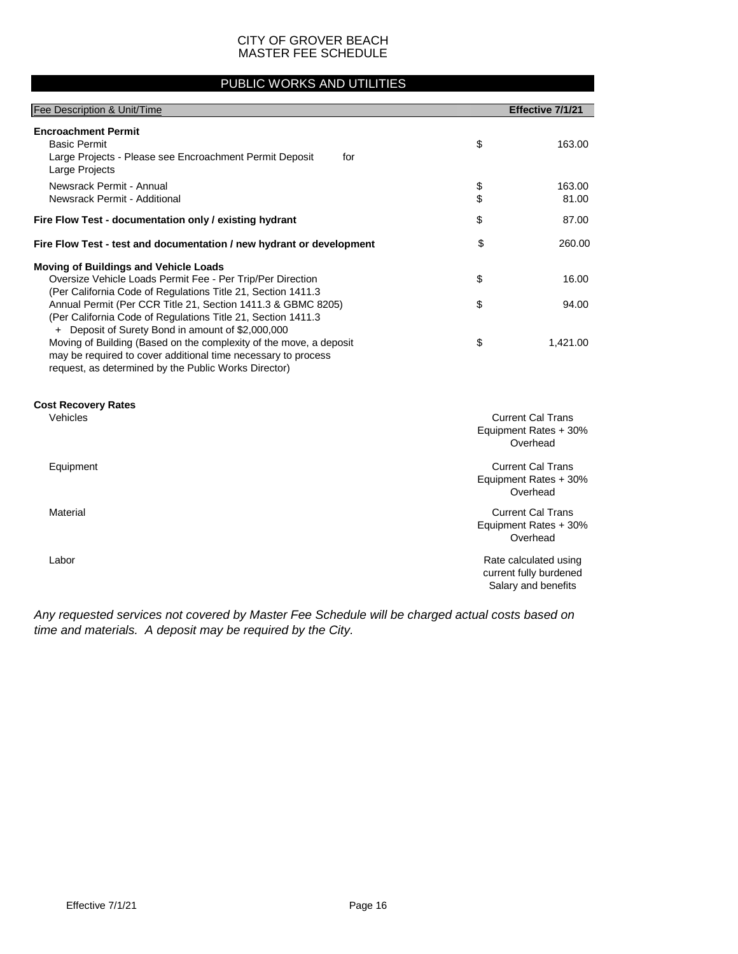#### PUBLIC WORKS AND UTILITIES

| Fee Description & Unit/Time                                                                                                                                                                 |          | Effective 7/1/21                                                       |
|---------------------------------------------------------------------------------------------------------------------------------------------------------------------------------------------|----------|------------------------------------------------------------------------|
| <b>Encroachment Permit</b><br><b>Basic Permit</b><br>Large Projects - Please see Encroachment Permit Deposit<br>for<br>Large Projects                                                       | \$       | 163.00                                                                 |
| Newsrack Permit - Annual<br>Newsrack Permit - Additional                                                                                                                                    | \$<br>\$ | 163.00<br>81.00                                                        |
| Fire Flow Test - documentation only / existing hydrant                                                                                                                                      | \$       | 87.00                                                                  |
| Fire Flow Test - test and documentation / new hydrant or development                                                                                                                        | \$       | 260.00                                                                 |
| <b>Moving of Buildings and Vehicle Loads</b><br>Oversize Vehicle Loads Permit Fee - Per Trip/Per Direction<br>(Per California Code of Regulations Title 21, Section 1411.3                  | \$       | 16.00                                                                  |
| Annual Permit (Per CCR Title 21, Section 1411.3 & GBMC 8205)<br>(Per California Code of Regulations Title 21, Section 1411.3)<br>+ Deposit of Surety Bond in amount of \$2,000,000          | \$       | 94.00                                                                  |
| Moving of Building (Based on the complexity of the move, a deposit<br>may be required to cover additional time necessary to process<br>request, as determined by the Public Works Director) | \$       | 1,421.00                                                               |
| <b>Cost Recovery Rates</b><br>Vehicles                                                                                                                                                      |          | <b>Current Cal Trans</b><br>Equipment Rates + 30%<br>Overhead          |
| Equipment                                                                                                                                                                                   |          | <b>Current Cal Trans</b><br>Equipment Rates + 30%<br>Overhead          |
| Material                                                                                                                                                                                    |          | <b>Current Cal Trans</b><br>Equipment Rates + 30%<br>Overhead          |
| Labor                                                                                                                                                                                       |          | Rate calculated using<br>current fully burdened<br>Salary and benefits |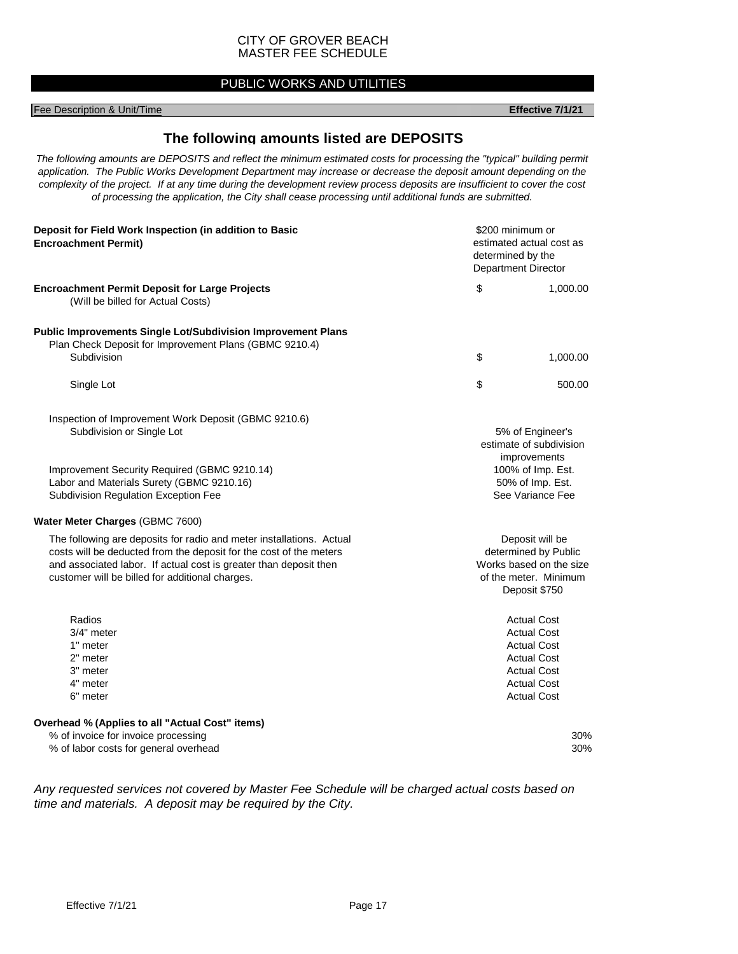#### PUBLIC WORKS AND UTILITIES

#### Fee Description & Unit/Time **Effective 7/1/21**

#### **The following amounts listed are DEPOSITS**

*The following amounts are DEPOSITS and reflect the minimum estimated costs for processing the "typical" building permit application. The Public Works Development Department may increase or decrease the deposit amount depending on the complexity of the project. If at any time during the development review process deposits are insufficient to cover the cost of processing the application, the City shall cease processing until additional funds are submitted.*

| Deposit for Field Work Inspection (in addition to Basic<br><b>Encroachment Permit)</b>                                                                                                                                                                             | \$200 minimum or<br>estimated actual cost as<br>determined by the<br>Department Director |                                                                                                                                                        |
|--------------------------------------------------------------------------------------------------------------------------------------------------------------------------------------------------------------------------------------------------------------------|------------------------------------------------------------------------------------------|--------------------------------------------------------------------------------------------------------------------------------------------------------|
| <b>Encroachment Permit Deposit for Large Projects</b><br>(Will be billed for Actual Costs)                                                                                                                                                                         | \$                                                                                       | 1,000.00                                                                                                                                               |
| <b>Public Improvements Single Lot/Subdivision Improvement Plans</b><br>Plan Check Deposit for Improvement Plans (GBMC 9210.4)<br>Subdivision                                                                                                                       | \$                                                                                       | 1,000.00                                                                                                                                               |
| Single Lot                                                                                                                                                                                                                                                         | \$                                                                                       | 500.00                                                                                                                                                 |
| Inspection of Improvement Work Deposit (GBMC 9210.6)<br>Subdivision or Single Lot                                                                                                                                                                                  |                                                                                          | 5% of Engineer's<br>estimate of subdivision                                                                                                            |
| Improvement Security Required (GBMC 9210.14)<br>Labor and Materials Surety (GBMC 9210.16)<br>Subdivision Regulation Exception Fee                                                                                                                                  | improvements<br>100% of Imp. Est.<br>50% of Imp. Est.<br>See Variance Fee                |                                                                                                                                                        |
| Water Meter Charges (GBMC 7600)                                                                                                                                                                                                                                    |                                                                                          |                                                                                                                                                        |
| The following are deposits for radio and meter installations. Actual<br>costs will be deducted from the deposit for the cost of the meters<br>and associated labor. If actual cost is greater than deposit then<br>customer will be billed for additional charges. |                                                                                          | Deposit will be<br>determined by Public<br>Works based on the size<br>of the meter. Minimum<br>Deposit \$750                                           |
| Radios<br>$3/4"$ meter<br>1" meter<br>2" meter<br>3" meter<br>4" meter<br>6" meter                                                                                                                                                                                 |                                                                                          | <b>Actual Cost</b><br><b>Actual Cost</b><br><b>Actual Cost</b><br><b>Actual Cost</b><br><b>Actual Cost</b><br><b>Actual Cost</b><br><b>Actual Cost</b> |
| Overhead % (Applies to all "Actual Cost" items)<br>% of invoice for invoice processing                                                                                                                                                                             |                                                                                          | 30%                                                                                                                                                    |
| % of labor costs for general overhead                                                                                                                                                                                                                              |                                                                                          | 30%                                                                                                                                                    |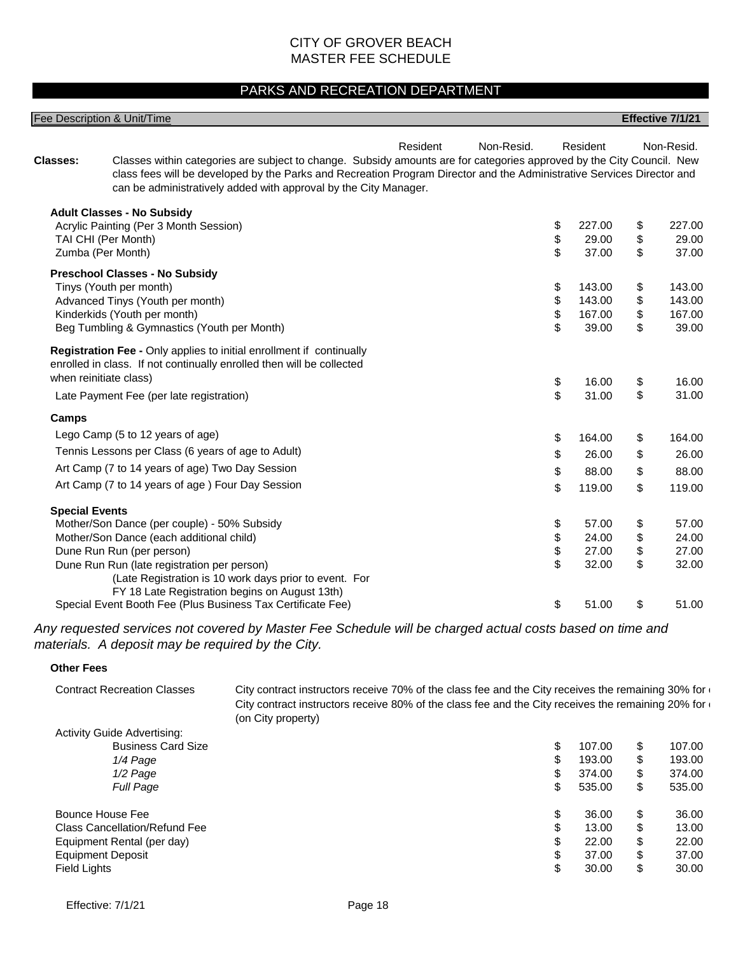#### PARKS AND RECREATION DEPARTMENT

|                       | <b>Fee Description &amp; Unit/Time</b>                                                                                                                                                                                                                                                                              |                        |                             |          | Effective 7/1/21 |
|-----------------------|---------------------------------------------------------------------------------------------------------------------------------------------------------------------------------------------------------------------------------------------------------------------------------------------------------------------|------------------------|-----------------------------|----------|------------------|
| <b>Classes:</b>       | Classes within categories are subject to change. Subsidy amounts are for categories approved by the City Council. New<br>class fees will be developed by the Parks and Recreation Program Director and the Administrative Services Director and<br>can be administratively added with approval by the City Manager. | Resident<br>Non-Resid. | Resident                    |          | Non-Resid.       |
|                       | <b>Adult Classes - No Subsidy</b>                                                                                                                                                                                                                                                                                   |                        |                             |          |                  |
|                       | Acrylic Painting (Per 3 Month Session)                                                                                                                                                                                                                                                                              |                        | \$<br>227.00<br>\$<br>29.00 | \$<br>\$ | 227.00<br>29.00  |
|                       | TAI CHI (Per Month)<br>Zumba (Per Month)                                                                                                                                                                                                                                                                            |                        | \$<br>37.00                 | \$       | 37.00            |
|                       | <b>Preschool Classes - No Subsidy</b>                                                                                                                                                                                                                                                                               |                        |                             |          |                  |
|                       | Tinys (Youth per month)                                                                                                                                                                                                                                                                                             |                        | \$<br>143.00                | \$       | 143.00           |
|                       | Advanced Tinys (Youth per month)                                                                                                                                                                                                                                                                                    |                        | \$<br>143.00                | \$       | 143.00           |
|                       | Kinderkids (Youth per month)                                                                                                                                                                                                                                                                                        |                        | \$<br>167.00                | \$       | 167.00           |
|                       | Beg Tumbling & Gymnastics (Youth per Month)                                                                                                                                                                                                                                                                         |                        | \$<br>39.00                 | \$       | 39.00            |
|                       | Registration Fee - Only applies to initial enrollment if continually<br>enrolled in class. If not continually enrolled then will be collected<br>when reinitiate class)                                                                                                                                             |                        | \$<br>16.00<br>\$           | \$       | 16.00            |
|                       | Late Payment Fee (per late registration)                                                                                                                                                                                                                                                                            |                        | 31.00                       | \$       | 31.00            |
| Camps                 |                                                                                                                                                                                                                                                                                                                     |                        |                             |          |                  |
|                       | Lego Camp (5 to 12 years of age)                                                                                                                                                                                                                                                                                    |                        | \$<br>164.00                | \$       | 164.00           |
|                       | Tennis Lessons per Class (6 years of age to Adult)                                                                                                                                                                                                                                                                  |                        | \$<br>26.00                 | \$       | 26.00            |
|                       | Art Camp (7 to 14 years of age) Two Day Session                                                                                                                                                                                                                                                                     |                        | \$<br>88.00                 | \$       | 88.00            |
|                       | Art Camp (7 to 14 years of age) Four Day Session                                                                                                                                                                                                                                                                    |                        | \$<br>119.00                | \$       | 119.00           |
| <b>Special Events</b> |                                                                                                                                                                                                                                                                                                                     |                        |                             |          |                  |
|                       | Mother/Son Dance (per couple) - 50% Subsidy                                                                                                                                                                                                                                                                         |                        | \$<br>57.00                 | \$       | 57.00            |
|                       | Mother/Son Dance (each additional child)                                                                                                                                                                                                                                                                            |                        | \$<br>24.00                 | \$       | 24.00            |
|                       | Dune Run Run (per person)                                                                                                                                                                                                                                                                                           |                        | \$<br>27.00                 | \$       | 27.00            |
|                       | Dune Run Run (late registration per person)                                                                                                                                                                                                                                                                         |                        | \$<br>32.00                 | \$       | 32.00            |
|                       | (Late Registration is 10 work days prior to event. For<br>FY 18 Late Registration begins on August 13th)                                                                                                                                                                                                            |                        |                             |          |                  |
|                       | Special Event Booth Fee (Plus Business Tax Certificate Fee)                                                                                                                                                                                                                                                         |                        | \$<br>51.00                 | \$       | 51.00            |

*Any requested services not covered by Master Fee Schedule will be charged actual costs based on time and materials. A deposit may be required by the City.*

#### **Other Fees**

| <b>Contract Recreation Classes</b> | City contract instructors receive 70% of the class fee and the City receives the remaining 30% for $\epsilon$<br>City contract instructors receive 80% of the class fee and the City receives the remaining 20% for<br>(on City property) |        |              |
|------------------------------------|-------------------------------------------------------------------------------------------------------------------------------------------------------------------------------------------------------------------------------------------|--------|--------------|
| <b>Activity Guide Advertising:</b> |                                                                                                                                                                                                                                           |        |              |
| <b>Business Card Size</b>          | \$                                                                                                                                                                                                                                        | 107.00 | \$<br>107.00 |
| 1/4 Page                           | \$                                                                                                                                                                                                                                        | 193.00 | \$<br>193.00 |
| 1/2 Page                           | \$                                                                                                                                                                                                                                        | 374.00 | \$<br>374.00 |
| <b>Full Page</b>                   | \$                                                                                                                                                                                                                                        | 535.00 | \$<br>535.00 |
| Bounce House Fee                   | \$                                                                                                                                                                                                                                        | 36.00  | \$<br>36.00  |
| Class Cancellation/Refund Fee      | \$                                                                                                                                                                                                                                        | 13.00  | \$<br>13.00  |
| Equipment Rental (per day)         | \$                                                                                                                                                                                                                                        | 22.00  | \$<br>22.00  |
| <b>Equipment Deposit</b>           | \$                                                                                                                                                                                                                                        | 37.00  | \$<br>37.00  |
| <b>Field Lights</b>                | \$                                                                                                                                                                                                                                        | 30.00  | \$<br>30.00  |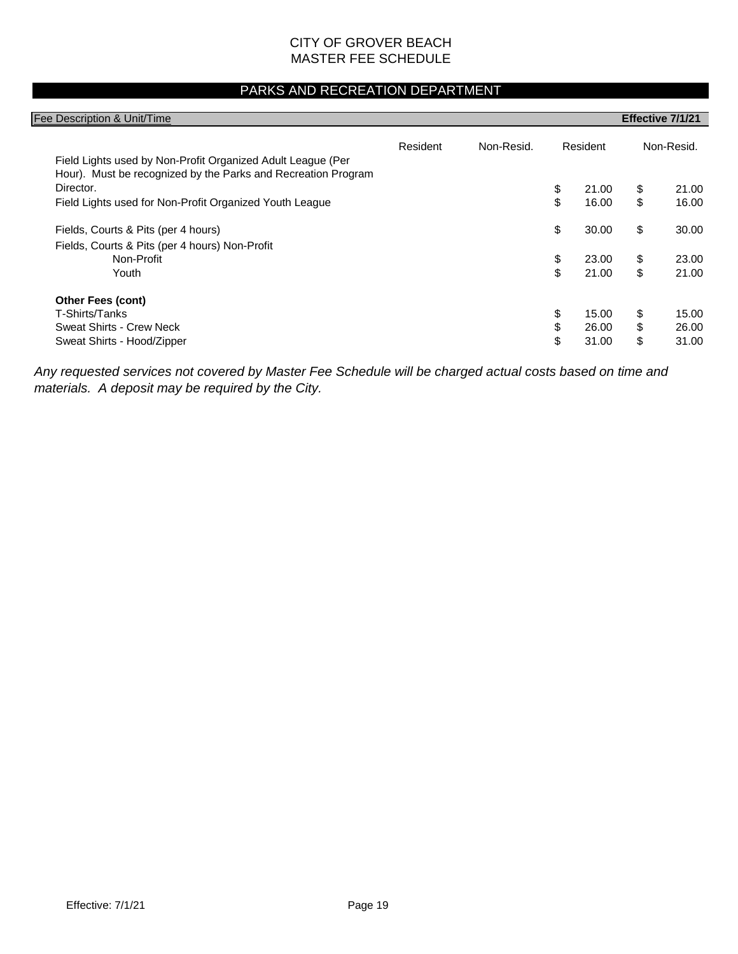#### PARKS AND RECREATION DEPARTMENT

| Fee Description & Unit/Time                                                                                                  |          |            |             | Effective 7/1/21 |
|------------------------------------------------------------------------------------------------------------------------------|----------|------------|-------------|------------------|
| Field Lights used by Non-Profit Organized Adult League (Per<br>Hour). Must be recognized by the Parks and Recreation Program | Resident | Non-Resid. | Resident    | Non-Resid.       |
| Director.                                                                                                                    |          |            | \$<br>21.00 | \$<br>21.00      |
| Field Lights used for Non-Profit Organized Youth League                                                                      |          |            | \$<br>16.00 | \$<br>16.00      |
| Fields, Courts & Pits (per 4 hours)                                                                                          |          |            | \$<br>30.00 | \$<br>30.00      |
| Fields, Courts & Pits (per 4 hours) Non-Profit                                                                               |          |            |             |                  |
| Non-Profit                                                                                                                   |          |            | \$<br>23.00 | \$<br>23.00      |
| Youth                                                                                                                        |          |            | \$<br>21.00 | \$<br>21.00      |
| <b>Other Fees (cont)</b>                                                                                                     |          |            |             |                  |
| T-Shirts/Tanks                                                                                                               |          |            | \$<br>15.00 | \$<br>15.00      |
| Sweat Shirts - Crew Neck                                                                                                     |          |            | \$<br>26.00 | \$<br>26.00      |
| Sweat Shirts - Hood/Zipper                                                                                                   |          |            | \$<br>31.00 | \$<br>31.00      |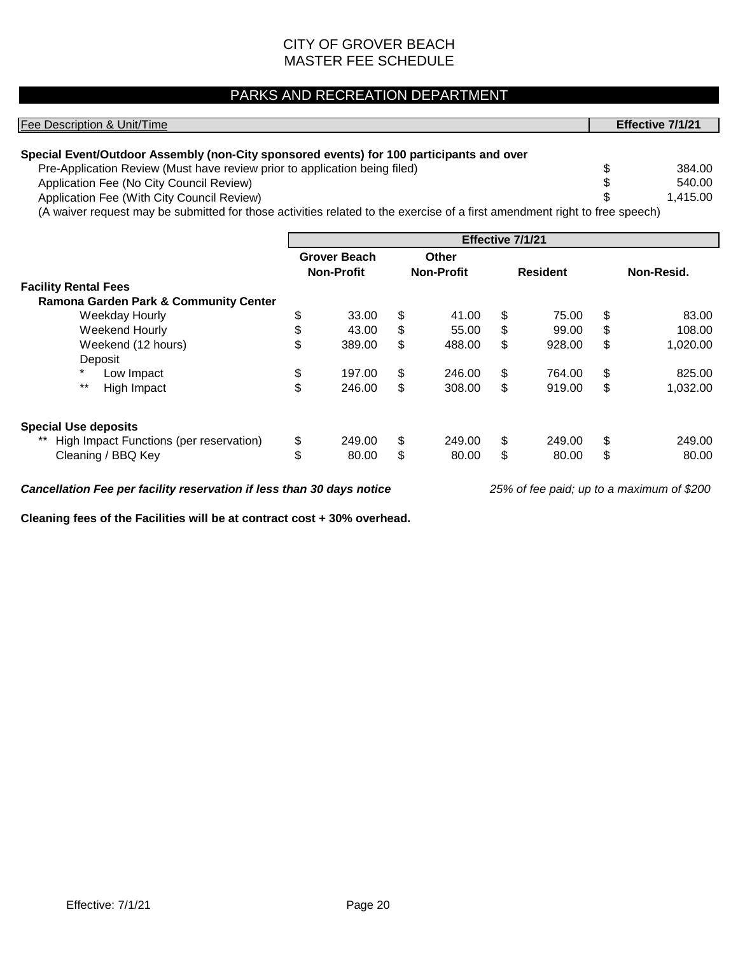### PARKS AND RECREATION DEPARTMENT

| Fee Description & Unit/Time                                                                                                |                     |                   |                  | Effective 7/1/21 |
|----------------------------------------------------------------------------------------------------------------------------|---------------------|-------------------|------------------|------------------|
| Special Event/Outdoor Assembly (non-City sponsored events) for 100 participants and over                                   |                     |                   |                  |                  |
| Pre-Application Review (Must have review prior to application being filed)                                                 |                     |                   |                  | \$<br>384.00     |
| Application Fee (No City Council Review)                                                                                   |                     |                   |                  | \$<br>540.00     |
| Application Fee (With City Council Review)                                                                                 |                     |                   |                  | \$<br>1,415.00   |
| (A waiver request may be submitted for those activities related to the exercise of a first amendment right to free speech) |                     |                   |                  |                  |
|                                                                                                                            |                     |                   | Effective 7/1/21 |                  |
|                                                                                                                            | <b>Grover Beach</b> | Other             |                  |                  |
|                                                                                                                            | <b>Non-Profit</b>   | <b>Non-Profit</b> | <b>Resident</b>  | Non-Resid.       |
| <b>Facility Rental Fees</b>                                                                                                |                     |                   |                  |                  |

| Facility Rental Fees                             |    |        |    |        |              |    |          |
|--------------------------------------------------|----|--------|----|--------|--------------|----|----------|
| <b>Ramona Garden Park &amp; Community Center</b> |    |        |    |        |              |    |          |
| Weekday Hourly                                   | Φ  | 33.00  | \$ | 41.00  | \$<br>75.00  | S  | 83.00    |
| Weekend Hourly                                   |    | 43.00  | S  | 55.00  | \$<br>99.00  | S  | 108.00   |
| Weekend (12 hours)                               | \$ | 389.00 | S  | 488.00 | \$<br>928.00 | S  | 1,020.00 |
| Deposit                                          |    |        |    |        |              |    |          |
| $\ast$<br>Low Impact                             | \$ | 197.00 | \$ | 246.00 | \$<br>764.00 | \$ | 825.00   |
| $***$<br>High Impact                             | \$ | 246.00 | \$ | 308.00 | \$<br>919.00 | \$ | 1,032.00 |
| <b>Special Use deposits</b>                      |    |        |    |        |              |    |          |
| High Impact Functions (per reservation)          | \$ | 249.00 | \$ | 249.00 | \$<br>249.00 | \$ | 249.00   |
| Cleaning / BBQ Key                               | \$ | 80.00  | \$ | 80.00  | \$<br>80.00  |    | 80.00    |

*Cancellation Fee per facility reservation if less than 30 days notice 25% of fee paid; up to a maximum of \$200*

**Cleaning fees of the Facilities will be at contract cost + 30% overhead.**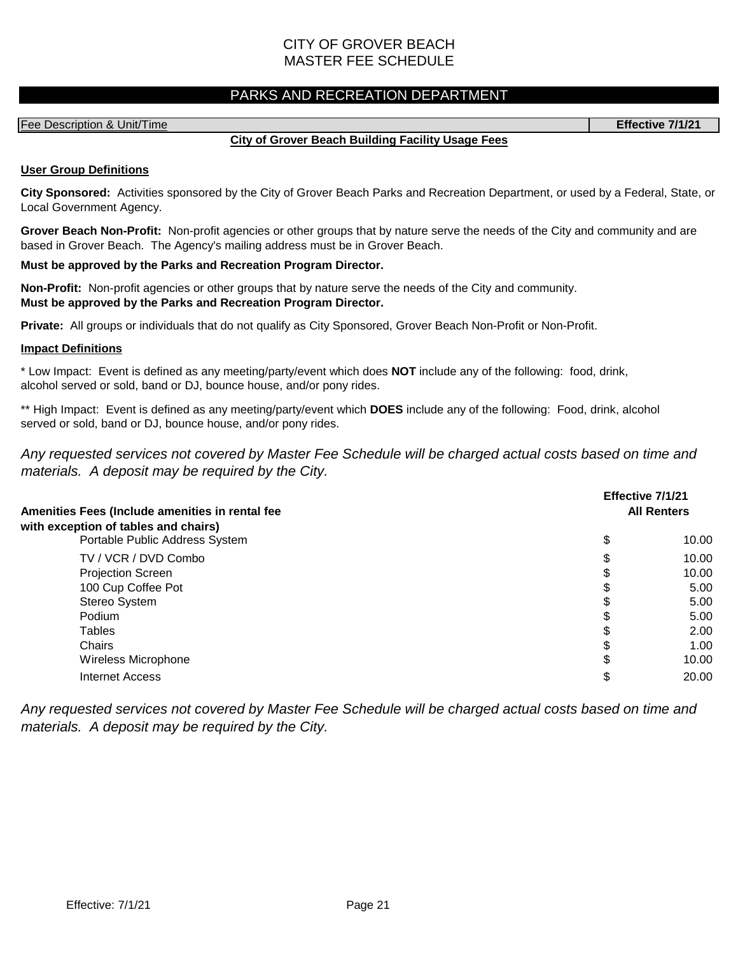#### PARKS AND RECREATION DEPARTMENT

#### Fee Description & Unit/Time **Effective 7/1/21**

#### **City of Grover Beach Building Facility Usage Fees**

#### **User Group Definitions**

**City Sponsored:** Activities sponsored by the City of Grover Beach Parks and Recreation Department, or used by a Federal, State, or Local Government Agency.

**Grover Beach Non-Profit:** Non-profit agencies or other groups that by nature serve the needs of the City and community and are based in Grover Beach. The Agency's mailing address must be in Grover Beach.

#### **Must be approved by the Parks and Recreation Program Director.**

**Non-Profit:** Non-profit agencies or other groups that by nature serve the needs of the City and community. **Must be approved by the Parks and Recreation Program Director.**

**Private:** All groups or individuals that do not qualify as City Sponsored, Grover Beach Non-Profit or Non-Profit.

#### **Impact Definitions**

\* Low Impact: Event is defined as any meeting/party/event which does **NOT** include any of the following: food, drink, alcohol served or sold, band or DJ, bounce house, and/or pony rides.

\*\* High Impact: Event is defined as any meeting/party/event which **DOES** include any of the following: Food, drink, alcohol served or sold, band or DJ, bounce house, and/or pony rides.

*Any requested services not covered by Master Fee Schedule will be charged actual costs based on time and materials. A deposit may be required by the City.*

| Amenities Fees (Include amenities in rental fee<br>with exception of tables and chairs) | Effective 7/1/21 | <b>All Renters</b> |
|-----------------------------------------------------------------------------------------|------------------|--------------------|
| Portable Public Address System                                                          | \$               | 10.00              |
| TV / VCR / DVD Combo                                                                    | \$               | 10.00              |
| <b>Projection Screen</b>                                                                | J                | 10.00              |
| 100 Cup Coffee Pot                                                                      | S                | 5.00               |
| Stereo System                                                                           | S                | 5.00               |
| Podium                                                                                  | S                | 5.00               |
| Tables                                                                                  | S                | 2.00               |
| Chairs                                                                                  | \$               | 1.00               |
| Wireless Microphone                                                                     | \$               | 10.00              |
| Internet Access                                                                         | \$               | 20.00              |
|                                                                                         |                  |                    |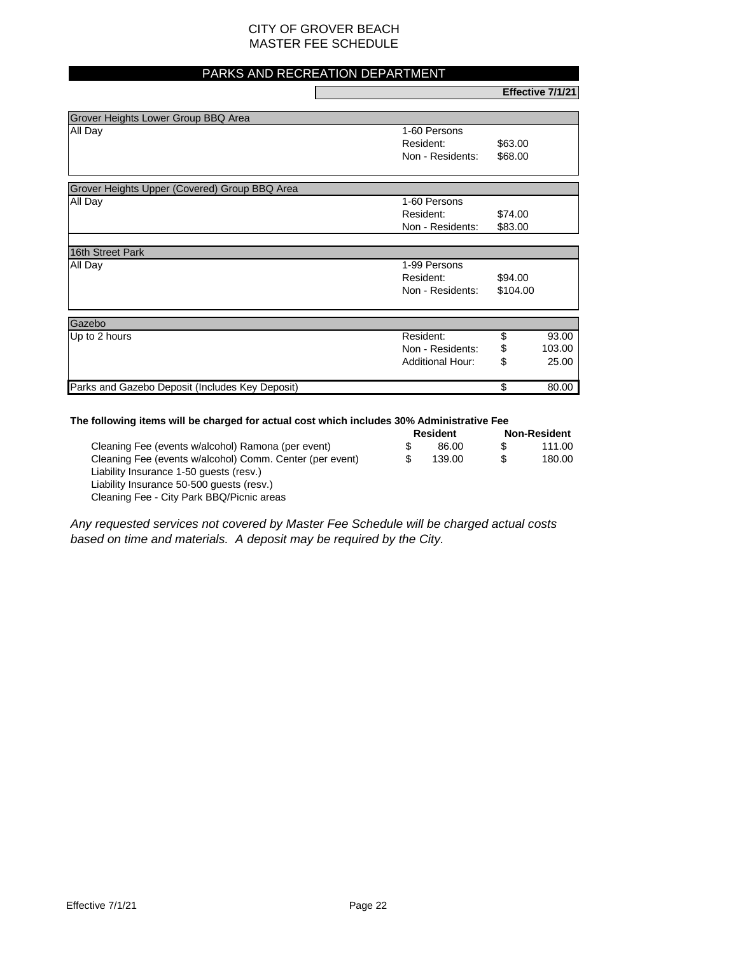#### PARKS AND RECREATION DEPARTMENT

**Effective 7/1/21**

| All Day                                       | 1-60 Persons                |
|-----------------------------------------------|-----------------------------|
|                                               | Resident:<br>\$63.00        |
|                                               | Non - Residents:<br>\$68.00 |
| Grover Heights Upper (Covered) Group BBQ Area |                             |
|                                               |                             |
| All Day                                       | 1-60 Persons                |
|                                               | Resident:<br>\$74.00        |

| 16th Street Park                                |                         |          |        |
|-------------------------------------------------|-------------------------|----------|--------|
| All Day                                         | 1-99 Persons            |          |        |
|                                                 | Resident:               | \$94.00  |        |
|                                                 | Non - Residents:        | \$104.00 |        |
| Gazebo                                          |                         |          |        |
| Up to 2 hours                                   | Resident:               |          | 93.00  |
|                                                 | Non - Residents:        | \$       | 103.00 |
|                                                 | <b>Additional Hour:</b> | \$       | 25.00  |
| Parks and Gazebo Deposit (Includes Key Deposit) |                         |          | 80.00  |

#### **The following items will be charged for actual cost which includes 30% Administrative Fee**

|                                                          |  | <b>Resident</b> |     | <b>Non-Resident</b> |  |
|----------------------------------------------------------|--|-----------------|-----|---------------------|--|
| Cleaning Fee (events w/alcohol) Ramona (per event)       |  | 86.00           |     | 111.00              |  |
| Cleaning Fee (events w/alcohol) Comm. Center (per event) |  | 139.00          | \$. | 180.00              |  |
| Liability Insurance 1-50 quests (resv.)                  |  |                 |     |                     |  |
| Liability Insurance 50-500 guests (resv.)                |  |                 |     |                     |  |
| Cleaning Fee - City Park BBQ/Picnic areas                |  |                 |     |                     |  |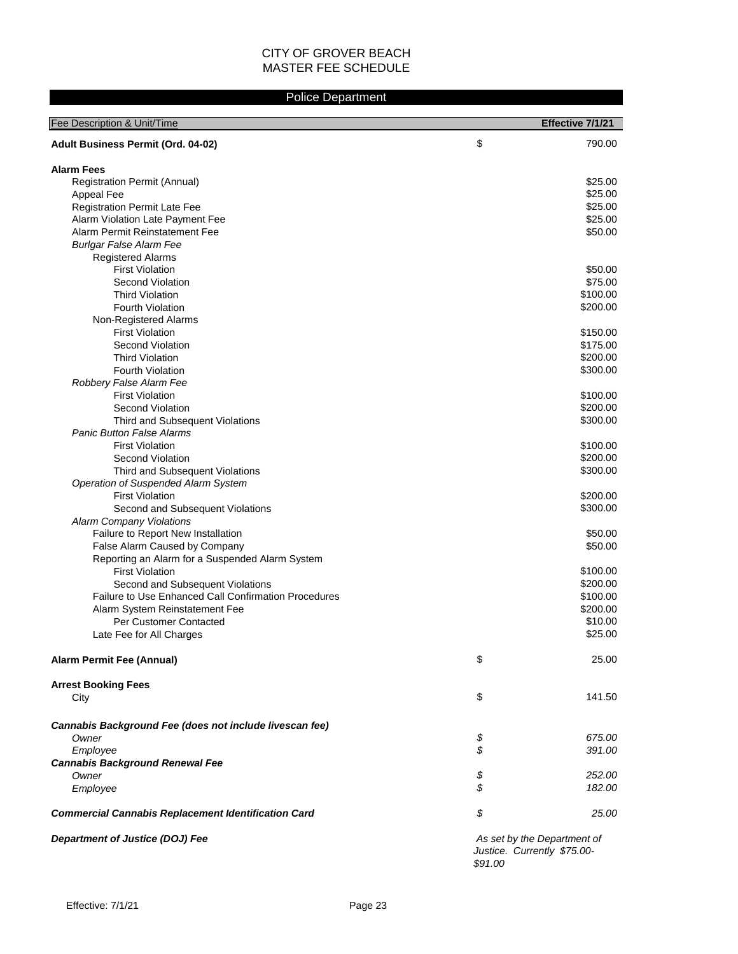#### Police Department

| Fee Description & Unit/Time                                 |         | Effective 7/1/21                                           |
|-------------------------------------------------------------|---------|------------------------------------------------------------|
| Adult Business Permit (Ord. 04-02)                          | \$      | 790.00                                                     |
|                                                             |         |                                                            |
| <b>Alarm Fees</b>                                           |         |                                                            |
| <b>Registration Permit (Annual)</b>                         |         | \$25.00                                                    |
| Appeal Fee                                                  |         | \$25.00                                                    |
| Registration Permit Late Fee                                |         | \$25.00                                                    |
| Alarm Violation Late Payment Fee                            |         | \$25.00                                                    |
| Alarm Permit Reinstatement Fee                              |         | \$50.00                                                    |
| <b>Burlgar False Alarm Fee</b>                              |         |                                                            |
| <b>Registered Alarms</b>                                    |         |                                                            |
| <b>First Violation</b>                                      |         | \$50.00                                                    |
| Second Violation                                            |         | \$75.00                                                    |
| <b>Third Violation</b>                                      |         | \$100.00                                                   |
| <b>Fourth Violation</b>                                     |         | \$200.00                                                   |
| Non-Registered Alarms                                       |         |                                                            |
| <b>First Violation</b>                                      |         | \$150.00                                                   |
| Second Violation                                            |         | \$175.00                                                   |
| <b>Third Violation</b>                                      |         | \$200.00                                                   |
| <b>Fourth Violation</b>                                     |         | \$300.00                                                   |
| Robbery False Alarm Fee                                     |         |                                                            |
| <b>First Violation</b>                                      |         | \$100.00                                                   |
| Second Violation                                            |         | \$200.00                                                   |
| Third and Subsequent Violations                             |         | \$300.00                                                   |
| <b>Panic Button False Alarms</b>                            |         |                                                            |
| <b>First Violation</b>                                      |         | \$100.00                                                   |
| Second Violation                                            |         | \$200.00                                                   |
| Third and Subsequent Violations                             |         | \$300.00                                                   |
| Operation of Suspended Alarm System                         |         |                                                            |
| <b>First Violation</b>                                      |         | \$200.00                                                   |
| Second and Subsequent Violations                            |         | \$300.00                                                   |
| <b>Alarm Company Violations</b>                             |         |                                                            |
| Failure to Report New Installation                          |         | \$50.00                                                    |
| False Alarm Caused by Company                               |         | \$50.00                                                    |
| Reporting an Alarm for a Suspended Alarm System             |         |                                                            |
| <b>First Violation</b>                                      |         | \$100.00                                                   |
| Second and Subsequent Violations                            |         | \$200.00                                                   |
| <b>Failure to Use Enhanced Call Confirmation Procedures</b> |         | \$100.00                                                   |
| Alarm System Reinstatement Fee                              |         | \$200.00                                                   |
| <b>Per Customer Contacted</b>                               |         | \$10.00                                                    |
| Late Fee for All Charges                                    |         | \$25.00                                                    |
|                                                             |         |                                                            |
| <b>Alarm Permit Fee (Annual)</b>                            | \$      | 25.00                                                      |
|                                                             |         |                                                            |
| <b>Arrest Booking Fees</b>                                  |         |                                                            |
| City                                                        | \$      | 141.50                                                     |
| Cannabis Background Fee (does not include livescan fee)     |         |                                                            |
| Owner                                                       | \$      | 675.00                                                     |
|                                                             | \$      | 391.00                                                     |
| Employee<br><b>Cannabis Background Renewal Fee</b>          |         |                                                            |
| Owner                                                       | \$      | 252.00                                                     |
| Employee                                                    | \$      | 182.00                                                     |
|                                                             |         |                                                            |
| <b>Commercial Cannabis Replacement Identification Card</b>  | \$      | 25.00                                                      |
| Department of Justice (DOJ) Fee                             | \$91.00 | As set by the Department of<br>Justice. Currently \$75.00- |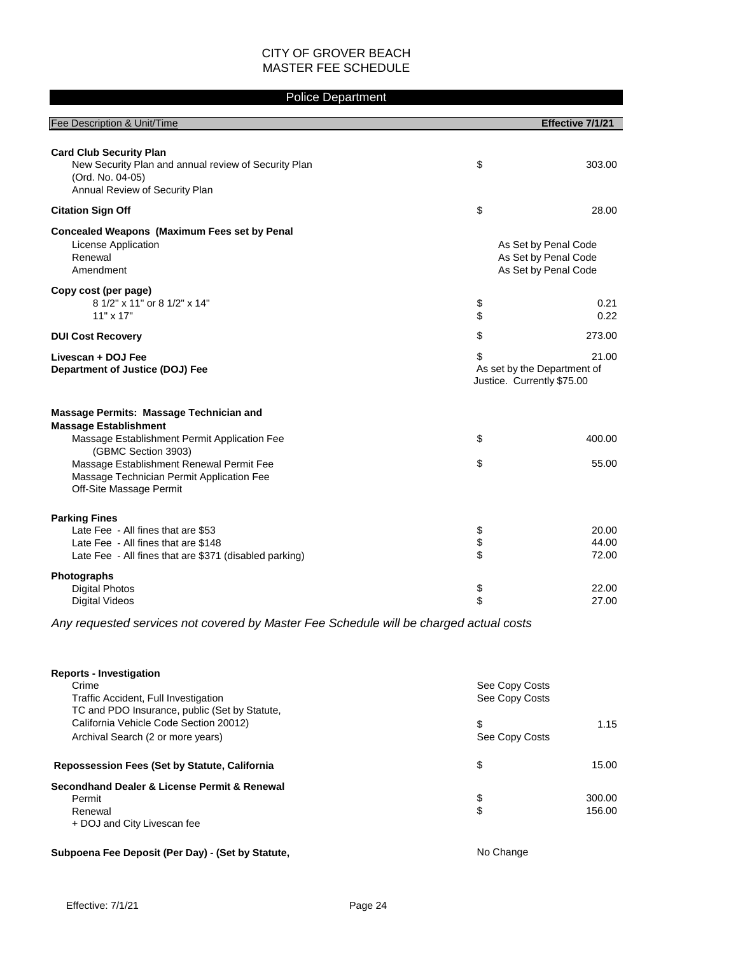#### Police Department

| Fee Description & Unit/Time                                                                                                                                 |                                                                 | Effective 7/1/21                                                     |
|-------------------------------------------------------------------------------------------------------------------------------------------------------------|-----------------------------------------------------------------|----------------------------------------------------------------------|
|                                                                                                                                                             |                                                                 |                                                                      |
| <b>Card Club Security Plan</b><br>New Security Plan and annual review of Security Plan<br>(Ord. No. 04-05)<br>Annual Review of Security Plan                | \$                                                              | 303.00                                                               |
| <b>Citation Sign Off</b>                                                                                                                                    | \$                                                              | 28.00                                                                |
| <b>Concealed Weapons (Maximum Fees set by Penal</b><br>License Application<br>Renewal<br>Amendment                                                          |                                                                 | As Set by Penal Code<br>As Set by Penal Code<br>As Set by Penal Code |
| Copy cost (per page)<br>8 1/2" x 11" or 8 1/2" x 14"<br>$11" \times 17"$                                                                                    | \$<br>\$                                                        | 0.21<br>0.22                                                         |
| <b>DUI Cost Recovery</b>                                                                                                                                    | \$                                                              | 273.00                                                               |
| Livescan + DOJ Fee<br>Department of Justice (DOJ) Fee                                                                                                       | \$<br>As set by the Department of<br>Justice. Currently \$75.00 | 21.00                                                                |
| <b>Massage Permits: Massage Technician and</b><br><b>Massage Establishment</b>                                                                              |                                                                 |                                                                      |
| Massage Establishment Permit Application Fee<br>(GBMC Section 3903)                                                                                         | \$                                                              | 400.00                                                               |
| Massage Establishment Renewal Permit Fee<br>Massage Technician Permit Application Fee<br>Off-Site Massage Permit                                            | \$                                                              | 55.00                                                                |
| <b>Parking Fines</b><br>Late Fee - All fines that are \$53<br>Late Fee - All fines that are \$148<br>Late Fee - All fines that are \$371 (disabled parking) | \$<br>\$<br>\$                                                  | 20.00<br>44.00<br>72.00                                              |
| Photographs<br><b>Digital Photos</b><br><b>Digital Videos</b>                                                                                               | \$<br>\$                                                        | 22.00<br>27.00                                                       |
| Any requested services not covered by Master Fee Schedule will be charged actual costs                                                                      |                                                                 |                                                                      |

| <b>Reports - Investigation</b><br>Crime              | See Copy Costs |        |
|------------------------------------------------------|----------------|--------|
| Traffic Accident, Full Investigation                 | See Copy Costs |        |
| TC and PDO Insurance, public (Set by Statute,        |                |        |
| California Vehicle Code Section 20012)               | \$             | 1.15   |
| Archival Search (2 or more years)                    | See Copy Costs |        |
| <b>Repossession Fees (Set by Statute, California</b> | \$             | 15.00  |
| Secondhand Dealer & License Permit & Renewal         |                |        |
| Permit                                               | \$             | 300.00 |
| Renewal                                              | \$             | 156.00 |
| + DOJ and City Livescan fee                          |                |        |
| Subpoena Fee Deposit (Per Day) - (Set by Statute,    | No Change      |        |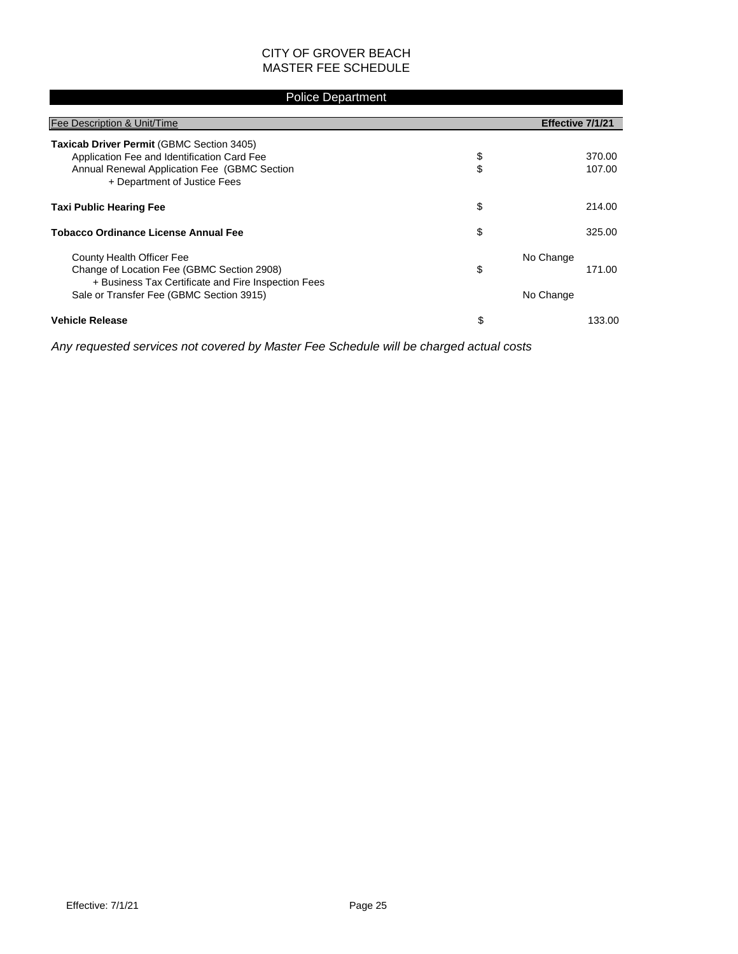#### Police Department

| Fee Description & Unit/Time                                                                                                                                              |          | Effective 7/1/21    |
|--------------------------------------------------------------------------------------------------------------------------------------------------------------------------|----------|---------------------|
| Taxicab Driver Permit (GBMC Section 3405)<br>Application Fee and Identification Card Fee<br>Annual Renewal Application Fee (GBMC Section<br>+ Department of Justice Fees | \$<br>\$ | 370.00<br>107.00    |
| <b>Taxi Public Hearing Fee</b>                                                                                                                                           | \$       | 214.00              |
| <b>Tobacco Ordinance License Annual Fee</b>                                                                                                                              | \$       | 325.00              |
| County Health Officer Fee<br>Change of Location Fee (GBMC Section 2908)<br>+ Business Tax Certificate and Fire Inspection Fees                                           | \$       | No Change<br>171.00 |
| Sale or Transfer Fee (GBMC Section 3915)                                                                                                                                 |          | No Change           |
| <b>Vehicle Release</b>                                                                                                                                                   | \$       | 133.00              |

*Any requested services not covered by Master Fee Schedule will be charged actual costs*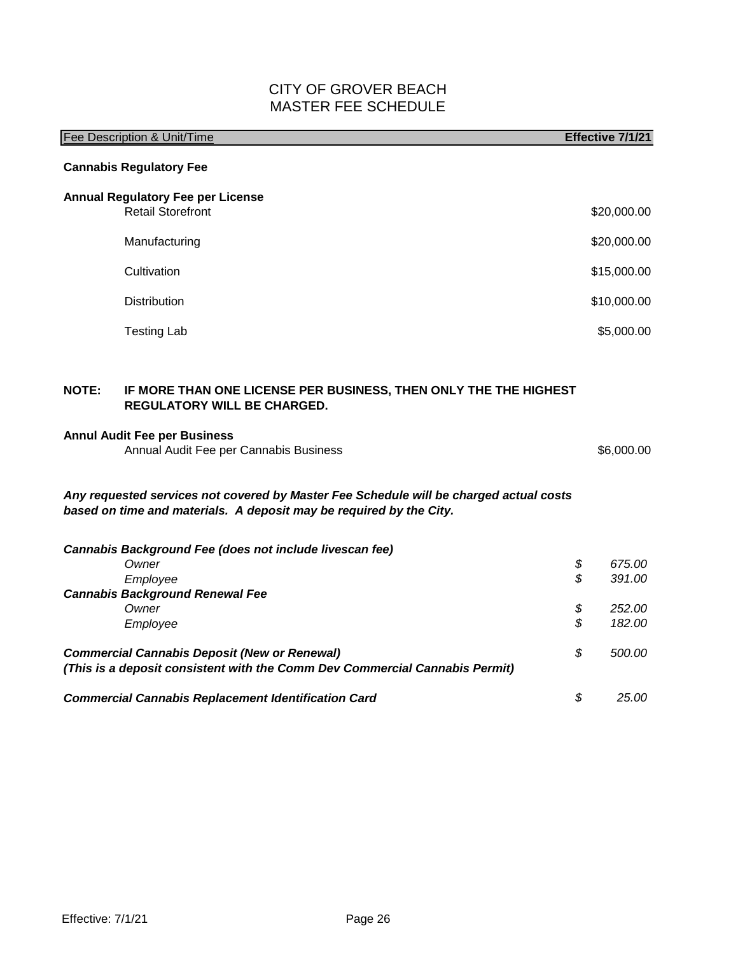|       | <b>Fee Description &amp; Unit/Time</b>                                                                                                                        | Effective 7/1/21 |
|-------|---------------------------------------------------------------------------------------------------------------------------------------------------------------|------------------|
|       | <b>Cannabis Regulatory Fee</b>                                                                                                                                |                  |
|       | <b>Annual Regulatory Fee per License</b>                                                                                                                      |                  |
|       | <b>Retail Storefront</b>                                                                                                                                      | \$20,000.00      |
|       | Manufacturing                                                                                                                                                 | \$20,000.00      |
|       | Cultivation                                                                                                                                                   | \$15,000.00      |
|       | <b>Distribution</b>                                                                                                                                           | \$10,000.00      |
|       | <b>Testing Lab</b>                                                                                                                                            | \$5,000.00       |
|       |                                                                                                                                                               |                  |
| NOTE: | IF MORE THAN ONE LICENSE PER BUSINESS, THEN ONLY THE THE HIGHEST<br>REGULATORY WILL BE CHARGED.                                                               |                  |
|       | <b>Annul Audit Fee per Business</b><br>Annual Audit Fee per Cannabis Business                                                                                 | \$6,000.00       |
|       | Any requested services not covered by Master Fee Schedule will be charged actual costs<br>based on time and materials. A deposit may be required by the City. |                  |
|       | Cannabis Background Fee (does not include livescan fee)<br>Owner                                                                                              | \$<br>675.00     |
|       | Employee                                                                                                                                                      | \$<br>391.00     |
|       | <b>Cannabis Background Renewal Fee</b><br>Owner                                                                                                               | \$<br>252.00     |
|       | Employee                                                                                                                                                      | \$<br>182.00     |
|       | <b>Commercial Cannabis Deposit (New or Renewal)</b><br>(This is a deposit consistent with the Comm Dev Commercial Cannabis Permit)                            | \$<br>500.00     |
|       | <b>Commercial Cannabis Replacement Identification Card</b>                                                                                                    | \$<br>25.00      |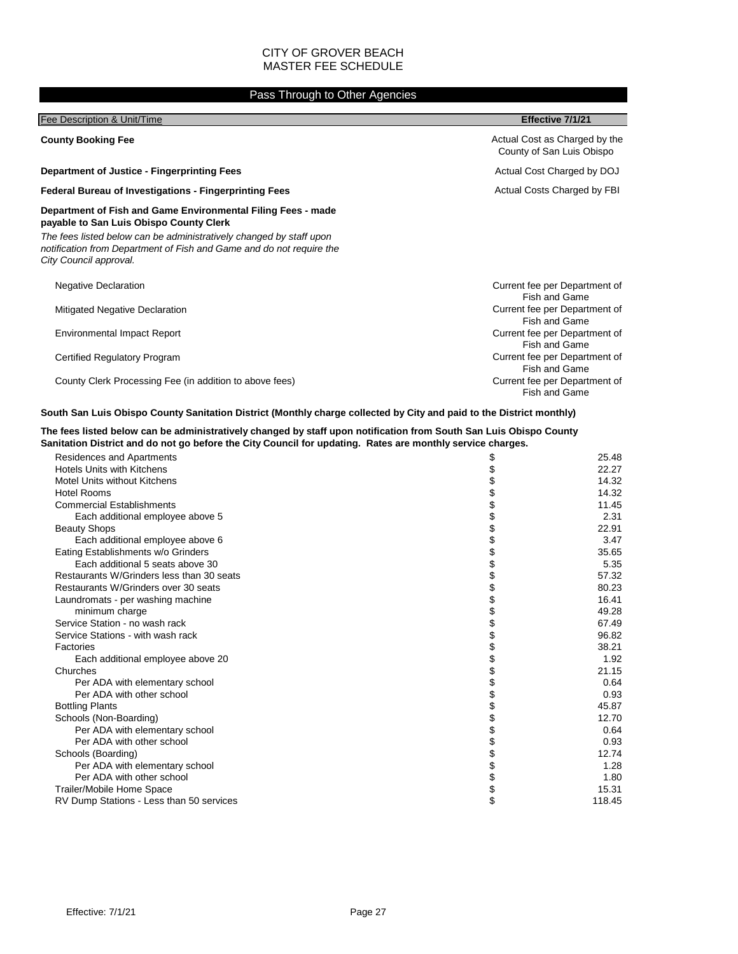#### Pass Through to Other Agencies

| Fee Description & Unit/Time                                                                                                                                                                                                                                                      | Effective 7/1/21                                           |
|----------------------------------------------------------------------------------------------------------------------------------------------------------------------------------------------------------------------------------------------------------------------------------|------------------------------------------------------------|
| <b>County Booking Fee</b>                                                                                                                                                                                                                                                        | Actual Cost as Charged by the<br>County of San Luis Obispo |
| <b>Department of Justice - Fingerprinting Fees</b>                                                                                                                                                                                                                               | Actual Cost Charged by DOJ                                 |
| <b>Federal Bureau of Investigations - Fingerprinting Fees</b>                                                                                                                                                                                                                    | Actual Costs Charged by FBI                                |
| Department of Fish and Game Environmental Filing Fees - made<br>payable to San Luis Obispo County Clerk<br>The fees listed below can be administratively changed by staff upon<br>notification from Department of Fish and Game and do not require the<br>City Council approval. |                                                            |
| <b>Negative Declaration</b>                                                                                                                                                                                                                                                      | Current fee per Department of<br>Fish and Game             |
| Mitigated Negative Declaration                                                                                                                                                                                                                                                   | Current fee per Department of<br>Fish and Game             |
| <b>Environmental Impact Report</b>                                                                                                                                                                                                                                               | Current fee per Department of<br>Fish and Game             |
| Certified Regulatory Program                                                                                                                                                                                                                                                     | Current fee per Department of<br>Fish and Game             |
| County Clerk Processing Fee (in addition to above fees)                                                                                                                                                                                                                          | Current fee per Department of<br><b>Fish and Game</b>      |

#### **South San Luis Obispo County Sanitation District (Monthly charge collected by City and paid to the District monthly)**

#### **The fees listed below can be administratively changed by staff upon notification from South San Luis Obispo County Sanitation District and do not go before the City Council for updating. Rates are monthly service charges.**

| Residences and Apartments                 | \$<br>25.48  |
|-------------------------------------------|--------------|
| <b>Hotels Units with Kitchens</b>         | 22.27        |
| Motel Units without Kitchens              | 14.32        |
| <b>Hotel Rooms</b>                        | 14.32        |
| <b>Commercial Establishments</b>          | 11.45        |
| Each additional employee above 5          | 2.31         |
| <b>Beauty Shops</b>                       | 22.91        |
| Each additional employee above 6          | \$<br>3.47   |
| Eating Establishments w/o Grinders        | 35.65        |
| Each additional 5 seats above 30          | 5.35         |
| Restaurants W/Grinders less than 30 seats | 57.32        |
| Restaurants W/Grinders over 30 seats      | 80.23        |
| Laundromats - per washing machine         | 16.41        |
| minimum charge                            | 49.28        |
| Service Station - no wash rack            | 67.49        |
| Service Stations - with wash rack         | 96.82        |
| Factories                                 | 38.21        |
| Each additional employee above 20         | 1.92         |
| Churches                                  | 21.15        |
| Per ADA with elementary school            | 0.64         |
| Per ADA with other school                 | 0.93         |
| <b>Bottling Plants</b>                    | 45.87        |
| Schools (Non-Boarding)                    | 12.70        |
| Per ADA with elementary school            | 0.64         |
| Per ADA with other school                 | 0.93         |
| Schools (Boarding)                        | 12.74        |
| Per ADA with elementary school            | 1.28         |
| Per ADA with other school                 | 1.80         |
| Trailer/Mobile Home Space                 | \$<br>15.31  |
| RV Dump Stations - Less than 50 services  | \$<br>118.45 |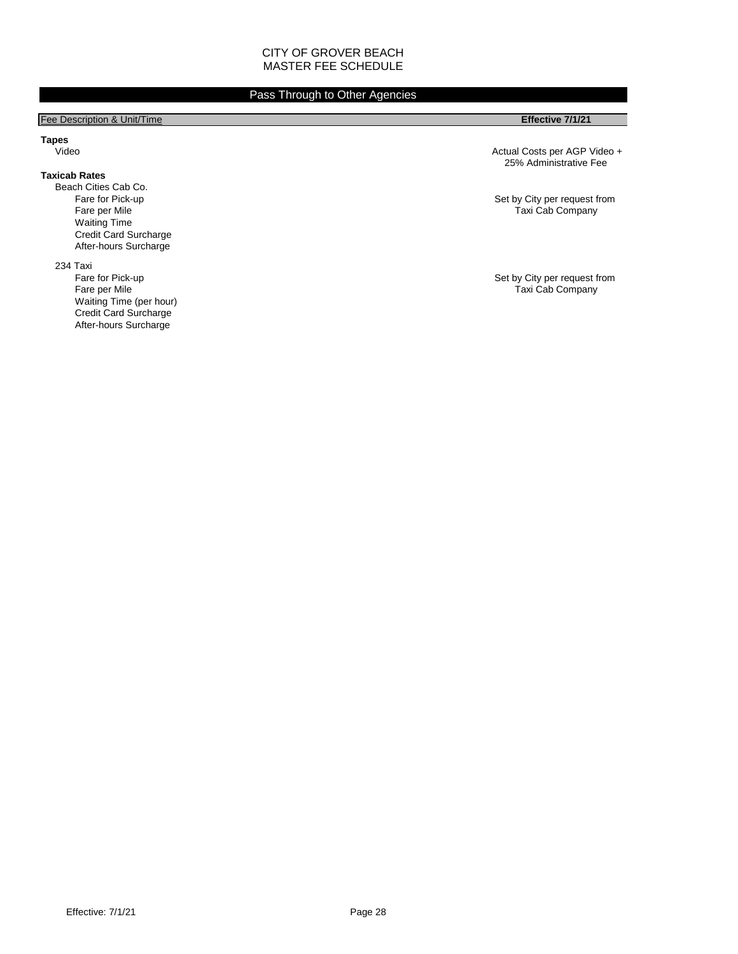#### Pass Through to Other Agencies

#### Fee Description & Unit/Time **Effective 7/1/21**

**Tapes**

#### **Taxicab Rates**

Beach Cities Cab Co.<br>Fare for Pick-up Waiting Time Credit Card Surcharge After-hours Surcharge

234 Taxi<br>Fare for Pick-up Waiting Time (per hour) Credit Card Surcharge After-hours Surcharge

Actual Costs per AGP Video + 25% Administrative Fee

Fare for Pick-up **Fare for Pick-up** Set by City per request from Set by City per request from Set by City per request from Set by City per request from Set by City per request from Set by City per request from Set by City Taxi Cab Company

Fare for Pick-up **Fare for Pick-up** Set by City per request from Set by City per request from Fare per Mile Taxi Cab Company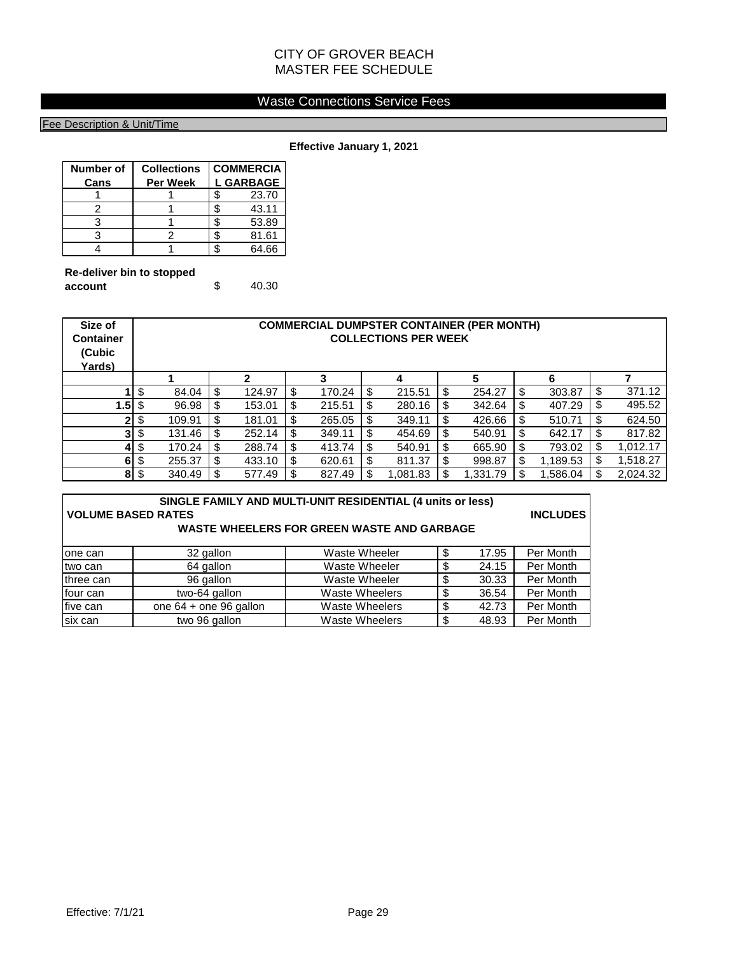#### Waste Connections Service Fees

#### Fee Description & Unit/Time

**Effective January 1, 2021**

| Number of | <b>Collections</b> | <b>COMMERCIA</b> |
|-----------|--------------------|------------------|
| Cans      | <b>Per Week</b>    | <b>L GARBAGE</b> |
|           |                    | 23.70            |
|           |                    | 43.11            |
|           |                    | 53.89            |
|           |                    | 81.61            |
|           |                    | 64.66            |

| Re-deliver bin to stopped |       |
|---------------------------|-------|
| account                   | 40.30 |

| Size of<br><b>Container</b><br>(Cubic<br>Yards) | <b>COMMERCIAL DUMPSTER CONTAINER (PER MONTH)</b><br><b>COLLECTIONS PER WEEK</b> |        |     |        |    |        |     |         |              |    |          |                |
|-------------------------------------------------|---------------------------------------------------------------------------------|--------|-----|--------|----|--------|-----|---------|--------------|----|----------|----------------|
|                                                 |                                                                                 |        |     | 2      |    | 3      |     | 4       | 5            |    | 6        |                |
|                                                 | \$                                                                              | 84.04  | \$  | 124.97 | \$ | 170.24 | \$  | 215.51  | \$<br>254.27 | -S | 303.87   | \$<br>371.12   |
| $1.5$ \ $\frac{2}{3}$                           |                                                                                 | 96.98  | \$  | 153.01 | \$ | 215.51 | \$  | 280.16  | \$<br>342.64 | -S | 407.29   | \$<br>495.52   |
|                                                 | 2 \$                                                                            | 109.91 | \$  | 181.01 | \$ | 265.05 | \$  | 349.11  | \$<br>426.66 |    | 510.71   | \$<br>624.50   |
|                                                 | $3 \,$ $\uparrow$                                                               | 131.46 | \$  | 252.14 | \$ | 349.11 | \$  | 454.69  | \$<br>540.91 | -S | 642.17   | \$<br>817.82   |
|                                                 | $4$ \$                                                                          | 170.24 | -\$ | 288.74 | \$ | 413.74 | \$  | 540.91  | \$<br>665.90 |    | 793.02   | \$<br>1,012.17 |
|                                                 | $6 \mid 3$                                                                      | 255.37 | S   | 433.10 | \$ | 620.61 | \$  | 811.37  | \$<br>998.87 |    | 1,189.53 | \$<br>1.518.27 |
|                                                 | $8 \,$ $\frac{6}{3}$                                                            | 340.49 |     | 577.49 | \$ | 827.49 | \$. | .081.83 | 1,331.79     |    | 1,586.04 | \$<br>2,024.32 |

| SINGLE FAMILY AND MULTI-UNIT RESIDENTIAL (4 units or less)<br><b>VOLUME BASED RATES</b><br><b>INCLUDES</b><br>WASTE WHEELERS FOR GREEN WASTE AND GARBAGE |                        |                       |    |       |           |  |
|----------------------------------------------------------------------------------------------------------------------------------------------------------|------------------------|-----------------------|----|-------|-----------|--|
| lone can                                                                                                                                                 | 32 gallon              | Waste Wheeler         | S  | 17.95 | Per Month |  |
| two can                                                                                                                                                  | 64 gallon              | Waste Wheeler         | S  | 24.15 | Per Month |  |
| three can                                                                                                                                                | 96 gallon              | Waste Wheeler         | \$ | 30.33 | Per Month |  |
| four can                                                                                                                                                 | two-64 gallon          | <b>Waste Wheelers</b> |    | 36.54 | Per Month |  |
| five can                                                                                                                                                 | one 64 + one 96 gallon | <b>Waste Wheelers</b> | \$ | 42.73 | Per Month |  |
| six can                                                                                                                                                  | two 96 gallon          | <b>Waste Wheelers</b> | \$ | 48.93 | Per Month |  |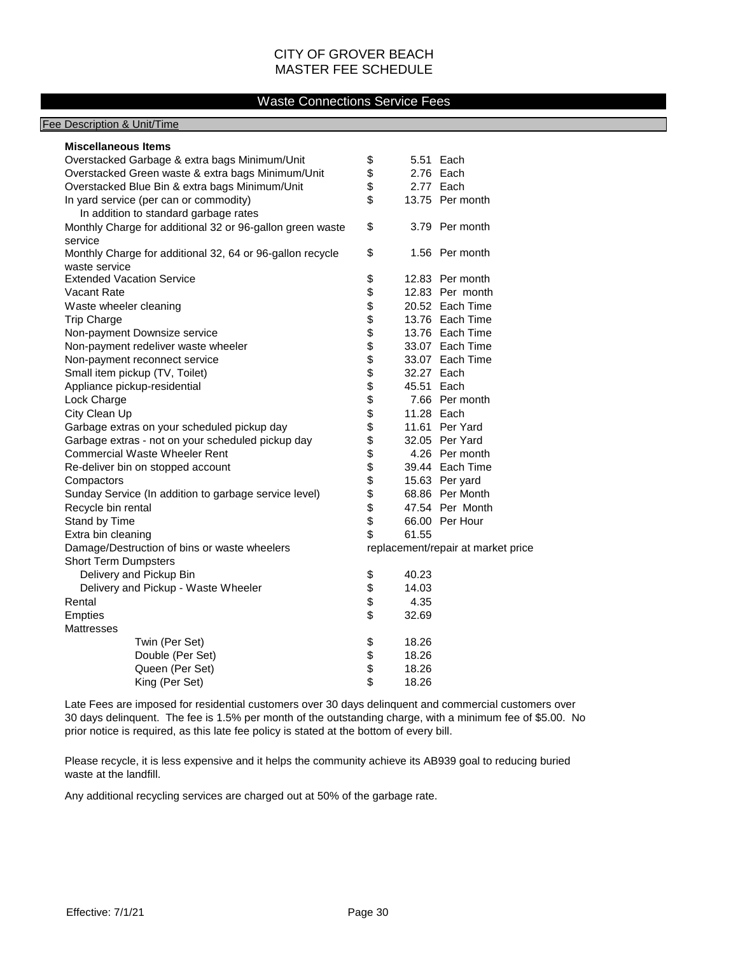#### Waste Connections Service Fees

#### Fee Description & Unit/Time

| <b>Miscellaneous Items</b>                                                      |                  |                                    |
|---------------------------------------------------------------------------------|------------------|------------------------------------|
| Overstacked Garbage & extra bags Minimum/Unit                                   | \$               | 5.51 Each                          |
| Overstacked Green waste & extra bags Minimum/Unit                               | \$               | 2.76 Each                          |
| Overstacked Blue Bin & extra bags Minimum/Unit                                  | \$               | 2.77 Each                          |
| In yard service (per can or commodity)<br>In addition to standard garbage rates | \$               | 13.75 Per month                    |
| Monthly Charge for additional 32 or 96-gallon green waste<br>service            | \$               | 3.79 Per month                     |
| Monthly Charge for additional 32, 64 or 96-gallon recycle<br>waste service      | \$               | 1.56 Per month                     |
| <b>Extended Vacation Service</b>                                                | \$               | 12.83 Per month                    |
| Vacant Rate                                                                     | \$               | 12.83 Per month                    |
| Waste wheeler cleaning                                                          | \$               | 20.52 Each Time                    |
| <b>Trip Charge</b>                                                              | \$               | 13.76 Each Time                    |
| Non-payment Downsize service                                                    | \$               | 13.76 Each Time                    |
| Non-payment redeliver waste wheeler                                             | \$               | 33.07 Each Time                    |
| Non-payment reconnect service                                                   | \$               | 33.07 Each Time                    |
| Small item pickup (TV, Toilet)                                                  | \$<br>32.27 Each |                                    |
| Appliance pickup-residential                                                    | 45.51 Each       |                                    |
| Lock Charge                                                                     | \$               | 7.66 Per month                     |
| City Clean Up                                                                   | \$<br>11.28 Each |                                    |
| Garbage extras on your scheduled pickup day                                     | \$               | 11.61 Per Yard                     |
| Garbage extras - not on your scheduled pickup day                               | \$               | 32.05 Per Yard                     |
| <b>Commercial Waste Wheeler Rent</b>                                            | \$               | 4.26 Per month                     |
| Re-deliver bin on stopped account                                               | \$               | 39.44 Each Time                    |
| Compactors                                                                      | \$               | 15.63 Per yard                     |
| Sunday Service (In addition to garbage service level)                           | \$               | 68.86 Per Month                    |
| Recycle bin rental                                                              | \$               | 47.54 Per Month                    |
| Stand by Time                                                                   | \$               | 66.00 Per Hour                     |
| Extra bin cleaning                                                              | \$<br>61.55      |                                    |
| Damage/Destruction of bins or waste wheelers                                    |                  | replacement/repair at market price |
| <b>Short Term Dumpsters</b>                                                     |                  |                                    |
| Delivery and Pickup Bin                                                         | \$<br>40.23      |                                    |
| Delivery and Pickup - Waste Wheeler                                             | \$<br>14.03      |                                    |
| Rental                                                                          | \$<br>4.35       |                                    |
| <b>Empties</b>                                                                  | \$<br>32.69      |                                    |
| <b>Mattresses</b>                                                               |                  |                                    |
| Twin (Per Set)                                                                  | \$<br>18.26      |                                    |
| Double (Per Set)                                                                | \$<br>18.26      |                                    |
| Queen (Per Set)                                                                 | \$<br>18.26      |                                    |
| King (Per Set)                                                                  | \$<br>18.26      |                                    |

Late Fees are imposed for residential customers over 30 days delinquent and commercial customers over 30 days delinquent. The fee is 1.5% per month of the outstanding charge, with a minimum fee of \$5.00. No prior notice is required, as this late fee policy is stated at the bottom of every bill.

Please recycle, it is less expensive and it helps the community achieve its AB939 goal to reducing buried waste at the landfill.

Any additional recycling services are charged out at 50% of the garbage rate.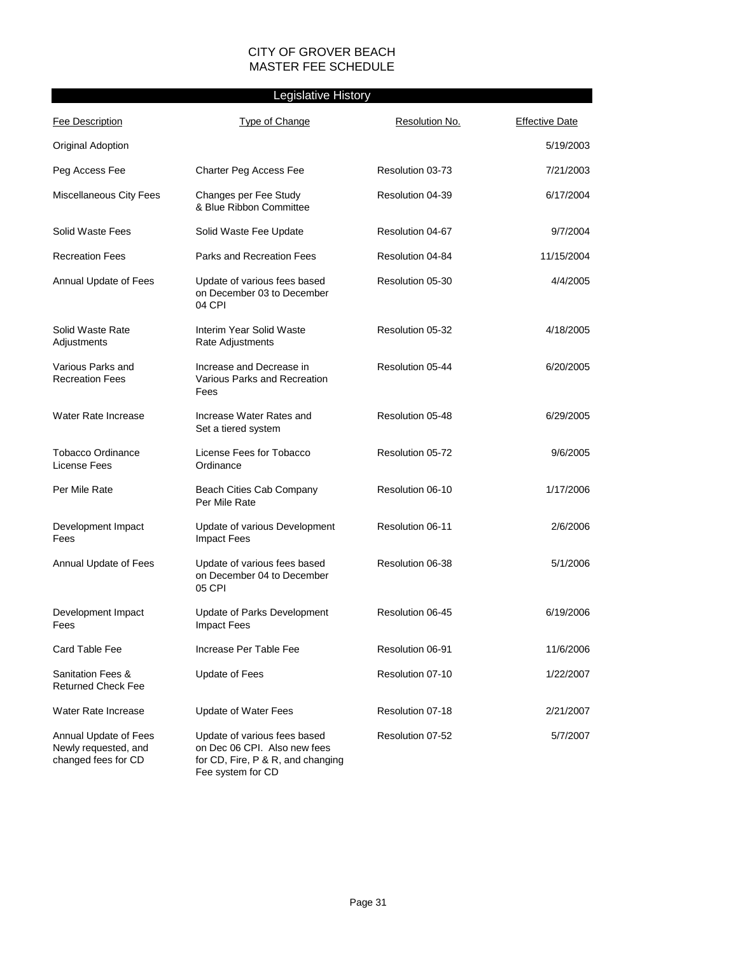#### Legislative History

| <b>Fee Description</b>                                               | Type of Change                                                                                                         | Resolution No.   | <b>Effective Date</b> |
|----------------------------------------------------------------------|------------------------------------------------------------------------------------------------------------------------|------------------|-----------------------|
| <b>Original Adoption</b>                                             |                                                                                                                        |                  | 5/19/2003             |
| Peg Access Fee                                                       | Charter Peg Access Fee                                                                                                 | Resolution 03-73 | 7/21/2003             |
| Miscellaneous City Fees                                              | Changes per Fee Study<br>& Blue Ribbon Committee                                                                       | Resolution 04-39 | 6/17/2004             |
| Solid Waste Fees                                                     | Solid Waste Fee Update                                                                                                 | Resolution 04-67 | 9/7/2004              |
| <b>Recreation Fees</b>                                               | Parks and Recreation Fees                                                                                              | Resolution 04-84 | 11/15/2004            |
| Annual Update of Fees                                                | Update of various fees based<br>on December 03 to December<br>04 CPI                                                   | Resolution 05-30 | 4/4/2005              |
| Solid Waste Rate<br>Adjustments                                      | Interim Year Solid Waste<br>Rate Adjustments                                                                           | Resolution 05-32 | 4/18/2005             |
| Various Parks and<br><b>Recreation Fees</b>                          | Increase and Decrease in<br>Various Parks and Recreation<br>Fees                                                       | Resolution 05-44 | 6/20/2005             |
| Water Rate Increase                                                  | Increase Water Rates and<br>Set a tiered system                                                                        | Resolution 05-48 | 6/29/2005             |
| Tobacco Ordinance<br>License Fees                                    | License Fees for Tobacco<br>Ordinance                                                                                  | Resolution 05-72 | 9/6/2005              |
| Per Mile Rate                                                        | Beach Cities Cab Company<br>Per Mile Rate                                                                              | Resolution 06-10 | 1/17/2006             |
| Development Impact<br>Fees                                           | Update of various Development<br><b>Impact Fees</b>                                                                    | Resolution 06-11 | 2/6/2006              |
| Annual Update of Fees                                                | Update of various fees based<br>on December 04 to December<br>05 CPI                                                   | Resolution 06-38 | 5/1/2006              |
| Development Impact<br>Fees                                           | Update of Parks Development<br><b>Impact Fees</b>                                                                      | Resolution 06-45 | 6/19/2006             |
| Card Table Fee                                                       | Increase Per Table Fee                                                                                                 | Resolution 06-91 | 11/6/2006             |
| Sanitation Fees &<br><b>Returned Check Fee</b>                       | <b>Update of Fees</b>                                                                                                  | Resolution 07-10 | 1/22/2007             |
| Water Rate Increase                                                  | <b>Update of Water Fees</b>                                                                                            | Resolution 07-18 | 2/21/2007             |
| Annual Update of Fees<br>Newly requested, and<br>changed fees for CD | Update of various fees based<br>on Dec 06 CPI. Also new fees<br>for CD, Fire, P & R, and changing<br>Fee system for CD | Resolution 07-52 | 5/7/2007              |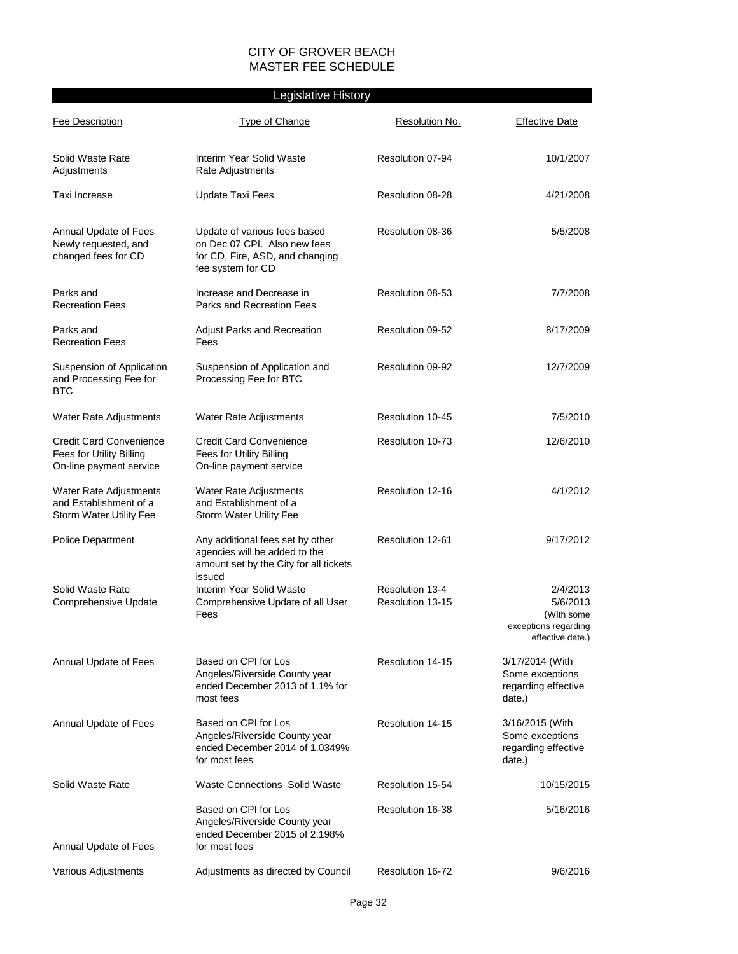#### Legislative History

| <b>Fee Description</b>                                                                | <b>Type of Change</b>                                                                                                | Resolution No.                      | <b>Effective Date</b>                                                          |
|---------------------------------------------------------------------------------------|----------------------------------------------------------------------------------------------------------------------|-------------------------------------|--------------------------------------------------------------------------------|
| Solid Waste Rate<br>Adjustments                                                       | Interim Year Solid Waste<br>Rate Adjustments                                                                         | Resolution 07-94                    | 10/1/2007                                                                      |
| Taxi Increase                                                                         | Update Taxi Fees                                                                                                     | Resolution 08-28                    | 4/21/2008                                                                      |
| Annual Update of Fees<br>Newly requested, and<br>changed fees for CD                  | Update of various fees based<br>on Dec 07 CPI. Also new fees<br>for CD, Fire, ASD, and changing<br>fee system for CD | Resolution 08-36                    | 5/5/2008                                                                       |
| Parks and<br><b>Recreation Fees</b>                                                   | Increase and Decrease in<br>Parks and Recreation Fees                                                                | Resolution 08-53                    | 7/7/2008                                                                       |
| Parks and<br><b>Recreation Fees</b>                                                   | Adjust Parks and Recreation<br>Fees                                                                                  | Resolution 09-52                    | 8/17/2009                                                                      |
| Suspension of Application<br>and Processing Fee for<br>BTC                            | Suspension of Application and<br>Processing Fee for BTC                                                              | Resolution 09-92                    | 12/7/2009                                                                      |
| <b>Water Rate Adjustments</b>                                                         | <b>Water Rate Adjustments</b>                                                                                        | Resolution 10-45                    | 7/5/2010                                                                       |
| <b>Credit Card Convenience</b><br>Fees for Utility Billing<br>On-line payment service | <b>Credit Card Convenience</b><br>Fees for Utility Billing<br>On-line payment service                                | Resolution 10-73                    | 12/6/2010                                                                      |
| <b>Water Rate Adjustments</b><br>and Establishment of a<br>Storm Water Utility Fee    | <b>Water Rate Adjustments</b><br>and Establishment of a<br><b>Storm Water Utility Fee</b>                            | Resolution 12-16                    | 4/1/2012                                                                       |
| <b>Police Department</b>                                                              | Any additional fees set by other<br>agencies will be added to the<br>amount set by the City for all tickets          | Resolution 12-61                    | 9/17/2012                                                                      |
| Solid Waste Rate<br>Comprehensive Update                                              | issued<br>Interim Year Solid Waste<br>Comprehensive Update of all User<br>Fees                                       | Resolution 13-4<br>Resolution 13-15 | 2/4/2013<br>5/6/2013<br>(With some<br>exceptions regarding<br>effective date.) |
| Annual Update of Fees                                                                 | Based on CPI for Los<br>Angeles/Riverside County year<br>ended December 2013 of 1.1% for<br>most fees                | Resolution 14-15                    | 3/17/2014 (With<br>Some exceptions<br>regarding effective<br>date.)            |
| Annual Update of Fees                                                                 | Based on CPI for Los<br>Angeles/Riverside County year<br>ended December 2014 of 1.0349%<br>for most fees             | Resolution 14-15                    | 3/16/2015 (With<br>Some exceptions<br>regarding effective<br>date.)            |
| Solid Waste Rate                                                                      | <b>Waste Connections Solid Waste</b>                                                                                 | Resolution 15-54                    | 10/15/2015                                                                     |
| Annual Update of Fees                                                                 | Based on CPI for Los<br>Angeles/Riverside County year<br>ended December 2015 of 2.198%<br>for most fees              | Resolution 16-38                    | 5/16/2016                                                                      |
| Various Adjustments                                                                   | Adjustments as directed by Council                                                                                   | Resolution 16-72                    | 9/6/2016                                                                       |